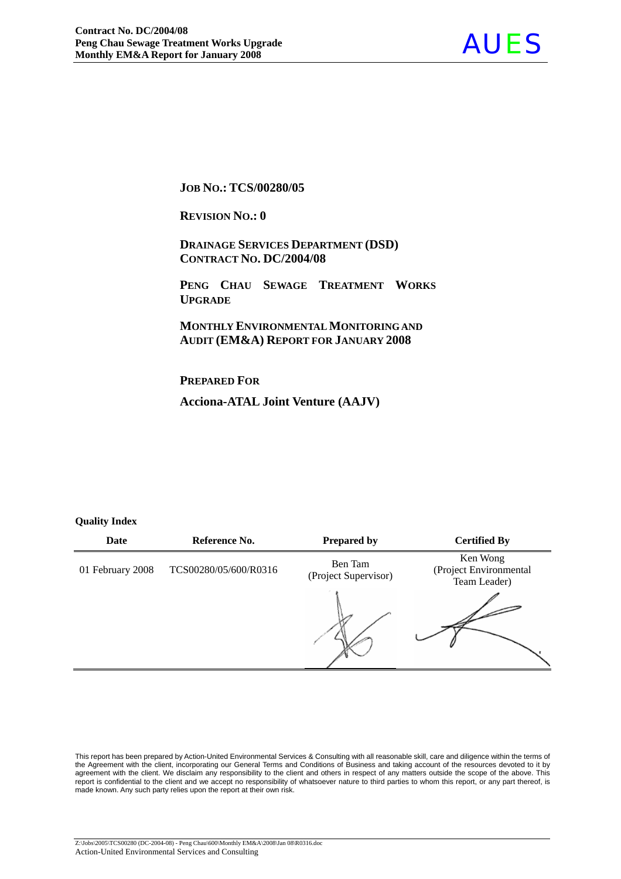

**JOB NO.: TCS/00280/05** 

**REVISION NO.: 0** 

 **DRAINAGE SERVICES DEPARTMENT (DSD) CONTRACT NO. DC/2004/08**

 **PENG CHAU SEWAGE TREATMENT WORKS UPGRADE**

 **MONTHLY ENVIRONMENTAL MONITORING AND AUDIT (EM&A) REPORT FOR JANUARY 2008** 

**PREPARED FOR**

**Acciona-ATAL Joint Venture (AAJV)**

#### **Quality Index**

| Date             | Reference No.         | <b>Prepared by</b>              | <b>Certified By</b>                                |
|------------------|-----------------------|---------------------------------|----------------------------------------------------|
| 01 February 2008 | TCS00280/05/600/R0316 | Ben Tam<br>(Project Supervisor) | Ken Wong<br>(Project Environmental<br>Team Leader) |
|                  |                       |                                 |                                                    |

This report has been prepared by Action-United Environmental Services & Consulting with all reasonable skill, care and diligence within the terms of the Agreement with the client, incorporating our General Terms and Conditions of Business and taking account of the resources devoted to it by agreement with the client. We disclaim any responsibility to the client and others in respect of any matters outside the scope of the above. This report is confidential to the client and we accept no responsibility of whatsoever nature to third parties to whom this report, or any part thereof, is made known. Any such party relies upon the report at their own risk.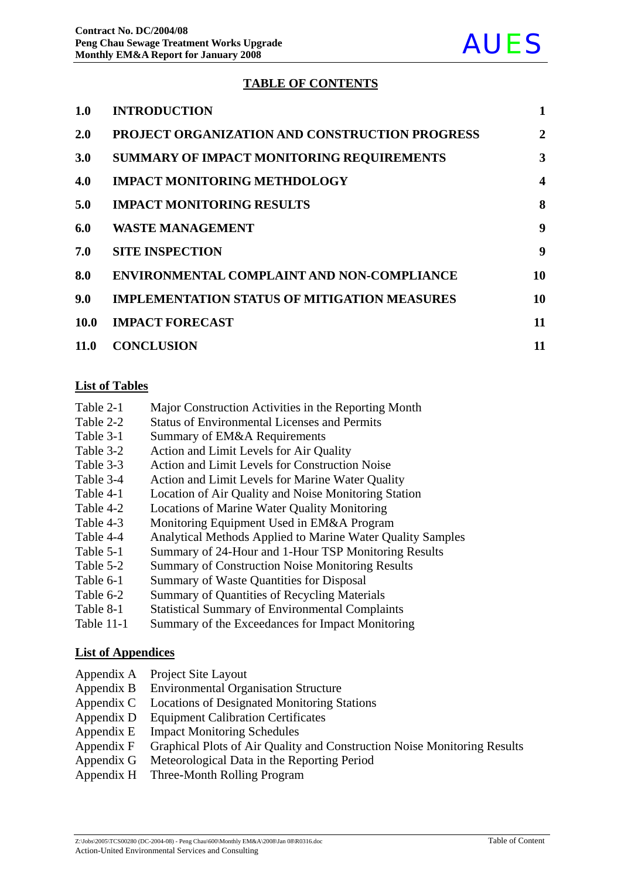## **TABLE OF CONTENTS**

| 1.0         | <b>INTRODUCTION</b>                                   | 1                       |
|-------------|-------------------------------------------------------|-------------------------|
| <b>2.0</b>  | <b>PROJECT ORGANIZATION AND CONSTRUCTION PROGRESS</b> | 2                       |
| <b>3.0</b>  | <b>SUMMARY OF IMPACT MONITORING REQUIREMENTS</b>      | 3                       |
| 4.0         | <b>IMPACT MONITORING METHDOLOGY</b>                   | $\overline{\mathbf{4}}$ |
| 5.0         | <b>IMPACT MONITORING RESULTS</b>                      | 8                       |
| 6.0         | <b>WASTE MANAGEMENT</b>                               | 9                       |
| 7.0         | <b>SITE INSPECTION</b>                                | 9                       |
| 8.0         | <b>ENVIRONMENTAL COMPLAINT AND NON-COMPLIANCE</b>     | 10                      |
| 9.0         | <b>IMPLEMENTATION STATUS OF MITIGATION MEASURES</b>   | 10                      |
| <b>10.0</b> | <b>IMPACT FORECAST</b>                                | 11                      |
| 11.0        | <b>CONCLUSION</b>                                     | 11                      |
|             |                                                       |                         |

#### **List of Tables**

- Table 2-1 Major Construction Activities in the Reporting Month
- Table 2-2 Status of Environmental Licenses and Permits
- Table 3-1 Summary of EM&A Requirements
- Table 3-2 Action and Limit Levels for Air Quality
- Table 3-3 Action and Limit Levels for Construction Noise
- Table 3-4 Action and Limit Levels for Marine Water Quality
- Table 4-1 Location of Air Quality and Noise Monitoring Station
- Table 4-2 Locations of Marine Water Quality Monitoring
- Table 4-3 Monitoring Equipment Used in EM&A Program
- Table 4-4 Analytical Methods Applied to Marine Water Quality Samples
- Table 5-1 Summary of 24-Hour and 1-Hour TSP Monitoring Results
- Table 5-2 Summary of Construction Noise Monitoring Results
- Table 6-1 Summary of Waste Quantities for Disposal
- Table 6-2 Summary of Quantities of Recycling Materials
- Table 8-1 Statistical Summary of Environmental Complaints
- Table 11-1 Summary of the Exceedances for Impact Monitoring

## **List of Appendices**

- Appendix A Project Site Layout
- Appendix B Environmental Organisation Structure
- Appendix C Locations of Designated Monitoring Stations
- Appendix D Equipment Calibration Certificates
- Appendix E Impact Monitoring Schedules
- Appendix F Graphical Plots of Air Quality and Construction Noise Monitoring Results
- Appendix G Meteorological Data in the Reporting Period
- Appendix H Three-Month Rolling Program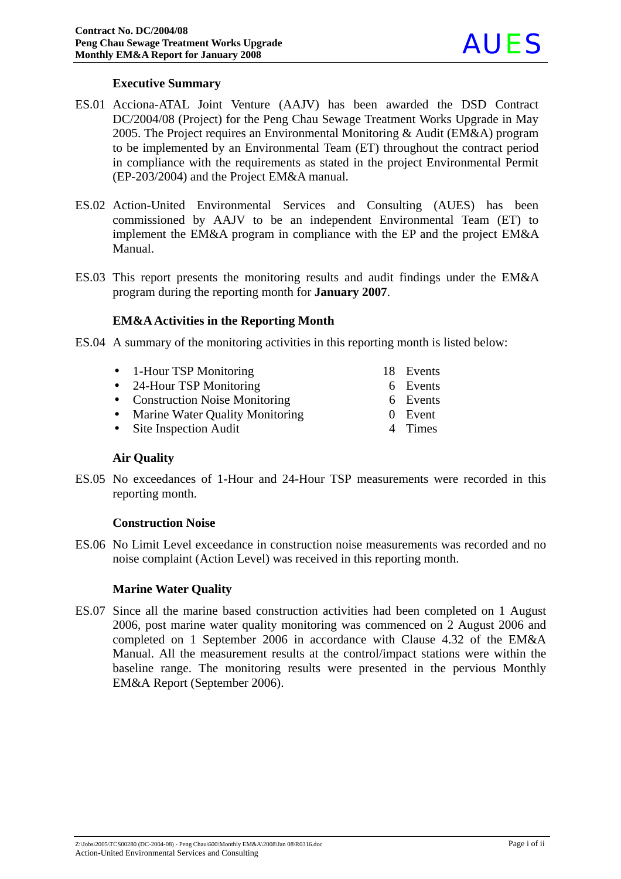

#### **Executive Summary**

- ES.01 Acciona-ATAL Joint Venture (AAJV) has been awarded the DSD Contract DC/2004/08 (Project) for the Peng Chau Sewage Treatment Works Upgrade in May 2005. The Project requires an Environmental Monitoring & Audit (EM&A) program to be implemented by an Environmental Team (ET) throughout the contract period in compliance with the requirements as stated in the project Environmental Permit (EP-203/2004) and the Project EM&A manual.
- ES.02 Action-United Environmental Services and Consulting (AUES) has been commissioned by AAJV to be an independent Environmental Team (ET) to implement the EM&A program in compliance with the EP and the project EM&A Manual.
- ES.03 This report presents the monitoring results and audit findings under the EM&A program during the reporting month for **January 2007**.

#### **EM&A Activities in the Reporting Month**

- ES.04 A summary of the monitoring activities in this reporting month is listed below:
	- 1-Hour TSP Monitoring 18 Events
	- 24-Hour TSP Monitoring 6 Events
	- Construction Noise Monitoring 6 Events
	- Marine Water Quality Monitoring 0 Event
	- Site Inspection Audit 4 Times
- 
- 
- -

#### **Air Quality**

ES.05 No exceedances of 1-Hour and 24-Hour TSP measurements were recorded in this reporting month.

#### **Construction Noise**

ES.06 No Limit Level exceedance in construction noise measurements was recorded and no noise complaint (Action Level) was received in this reporting month.

#### **Marine Water Quality**

ES.07 Since all the marine based construction activities had been completed on 1 August 2006, post marine water quality monitoring was commenced on 2 August 2006 and completed on 1 September 2006 in accordance with Clause 4.32 of the EM&A Manual. All the measurement results at the control/impact stations were within the baseline range. The monitoring results were presented in the pervious Monthly EM&A Report (September 2006).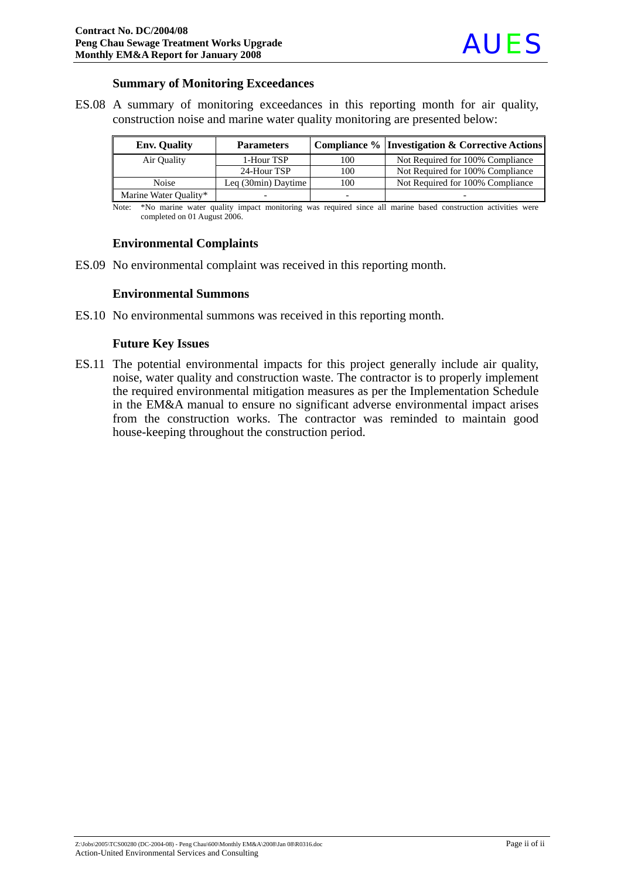#### **Summary of Monitoring Exceedances**

ES.08 A summary of monitoring exceedances in this reporting month for air quality, construction noise and marine water quality monitoring are presented below:

| <b>Env.</b> Quality   | <b>Parameters</b>            |                          | Compliance %   Investigation & Corrective Actions |
|-----------------------|------------------------------|--------------------------|---------------------------------------------------|
| Air Ouality           | 1-Hour TSP                   | 100                      | Not Required for 100% Compliance                  |
|                       | 24-Hour TSP                  | 100                      | Not Required for 100% Compliance                  |
| <b>Noise</b>          | Leq $(30\text{min})$ Daytime | 100                      | Not Required for 100% Compliance                  |
| Marine Water Quality* |                              | $\overline{\phantom{0}}$ |                                                   |

Note: \*No marine water quality impact monitoring was required since all marine based construction activities were completed on 01 August 2006.

#### **Environmental Complaints**

ES.09 No environmental complaint was received in this reporting month.

#### **Environmental Summons**

ES.10 No environmental summons was received in this reporting month.

#### **Future Key Issues**

ES.11 The potential environmental impacts for this project generally include air quality, noise, water quality and construction waste. The contractor is to properly implement the required environmental mitigation measures as per the Implementation Schedule in the EM&A manual to ensure no significant adverse environmental impact arises from the construction works. The contractor was reminded to maintain good house-keeping throughout the construction period.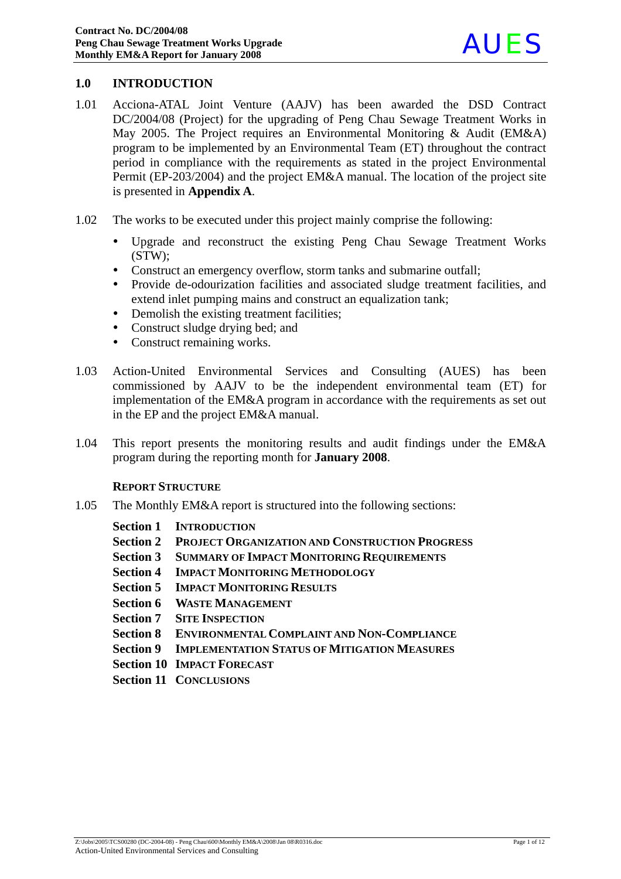## **1.0 INTRODUCTION**

- 1.01 Acciona-ATAL Joint Venture (AAJV) has been awarded the DSD Contract DC/2004/08 (Project) for the upgrading of Peng Chau Sewage Treatment Works in May 2005. The Project requires an Environmental Monitoring & Audit (EM&A) program to be implemented by an Environmental Team (ET) throughout the contract period in compliance with the requirements as stated in the project Environmental Permit (EP-203/2004) and the project EM&A manual. The location of the project site is presented in **Appendix A**.
- 1.02 The works to be executed under this project mainly comprise the following:
	- Upgrade and reconstruct the existing Peng Chau Sewage Treatment Works (STW);
	- Construct an emergency overflow, storm tanks and submarine outfall;
	- Provide de-odourization facilities and associated sludge treatment facilities, and extend inlet pumping mains and construct an equalization tank;
	- Demolish the existing treatment facilities;
	- Construct sludge drying bed; and
	- Construct remaining works.
- 1.03 Action-United Environmental Services and Consulting (AUES) has been commissioned by AAJV to be the independent environmental team (ET) for implementation of the EM&A program in accordance with the requirements as set out in the EP and the project EM&A manual.
- 1.04 This report presents the monitoring results and audit findings under the EM&A program during the reporting month for **January 2008**.

#### **REPORT STRUCTURE**

- 1.05 The Monthly EM&A report is structured into the following sections:
	- **Section 1 INTRODUCTION**
	- **Section 2 PROJECT ORGANIZATION AND CONSTRUCTION PROGRESS**
	- **Section 3 SUMMARY OF IMPACT MONITORING REQUIREMENTS**
	- **Section 4 IMPACT MONITORING METHODOLOGY**
	- **Section 5 IMPACT MONITORING RESULTS**
	- **Section 6 WASTE MANAGEMENT**
	- **Section 7 SITE INSPECTION**
	- **Section 8 ENVIRONMENTAL COMPLAINT AND NON-COMPLIANCE**
	- **Section 9 IMPLEMENTATION STATUS OF MITIGATION MEASURES**
	- **Section 10 IMPACT FORECAST**
	- **Section 11 CONCLUSIONS**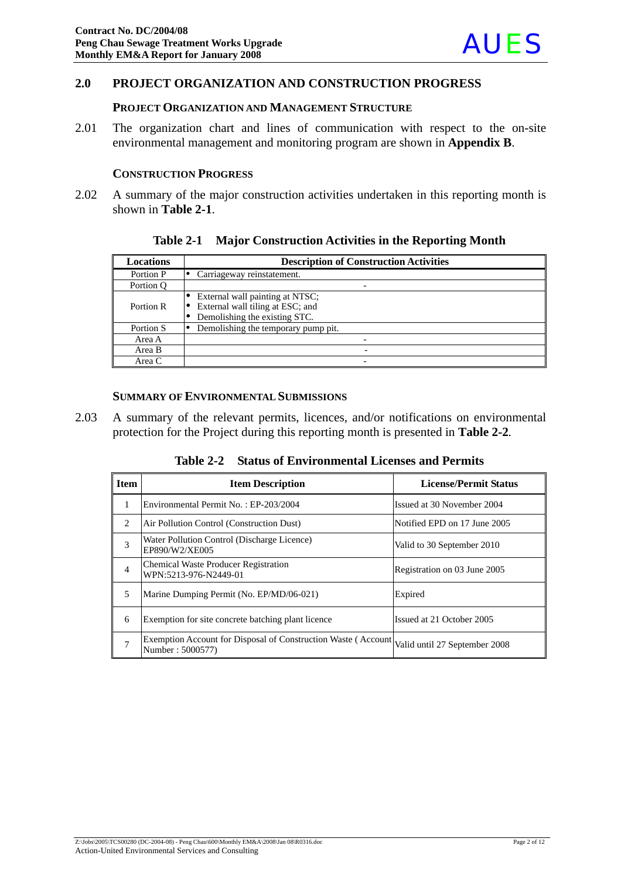

#### **2.0 PROJECT ORGANIZATION AND CONSTRUCTION PROGRESS**

#### **PROJECT ORGANIZATION AND MANAGEMENT STRUCTURE**

2.01 The organization chart and lines of communication with respect to the on-site environmental management and monitoring program are shown in **Appendix B**.

#### **CONSTRUCTION PROGRESS**

2.02 A summary of the major construction activities undertaken in this reporting month is shown in **Table 2-1**.

|  | Table 2-1 Major Construction Activities in the Reporting Month |  |  |
|--|----------------------------------------------------------------|--|--|
|--|----------------------------------------------------------------|--|--|

| <b>Locations</b> | <b>Description of Construction Activities</b>                                                        |  |  |  |
|------------------|------------------------------------------------------------------------------------------------------|--|--|--|
| Portion P        | Carriageway reinstatement.                                                                           |  |  |  |
| Portion Q        |                                                                                                      |  |  |  |
| Portion R        | External wall painting at NTSC;<br>External wall tiling at ESC; and<br>Demolishing the existing STC. |  |  |  |
| Portion S        | Demolishing the temporary pump pit.                                                                  |  |  |  |
| Area A           |                                                                                                      |  |  |  |
| Area B           |                                                                                                      |  |  |  |
| Area C           |                                                                                                      |  |  |  |

#### **SUMMARY OF ENVIRONMENTAL SUBMISSIONS**

2.03 A summary of the relevant permits, licences, and/or notifications on environmental protection for the Project during this reporting month is presented in **Table 2-2***.* 

**Table 2-2 Status of Environmental Licenses and Permits** 

| l Item         | <b>Item Description</b>                                                            | <b>License/Permit Status</b>  |
|----------------|------------------------------------------------------------------------------------|-------------------------------|
| 1              | Environmental Permit No.: EP-203/2004                                              | Issued at 30 November 2004    |
| 2              | Air Pollution Control (Construction Dust)                                          | Notified EPD on 17 June 2005  |
| 3              | Water Pollution Control (Discharge Licence)<br>EP890/W2/XE005                      | Valid to 30 September 2010    |
| $\overline{4}$ | <b>Chemical Waste Producer Registration</b><br>WPN:5213-976-N2449-01               | Registration on 03 June 2005  |
| 5              | Marine Dumping Permit (No. EP/MD/06-021)                                           | Expired                       |
| 6              | Exemption for site concrete batching plant licence                                 | Issued at 21 October 2005     |
| 7              | Exemption Account for Disposal of Construction Waste (Account)<br>Number: 5000577) | Valid until 27 September 2008 |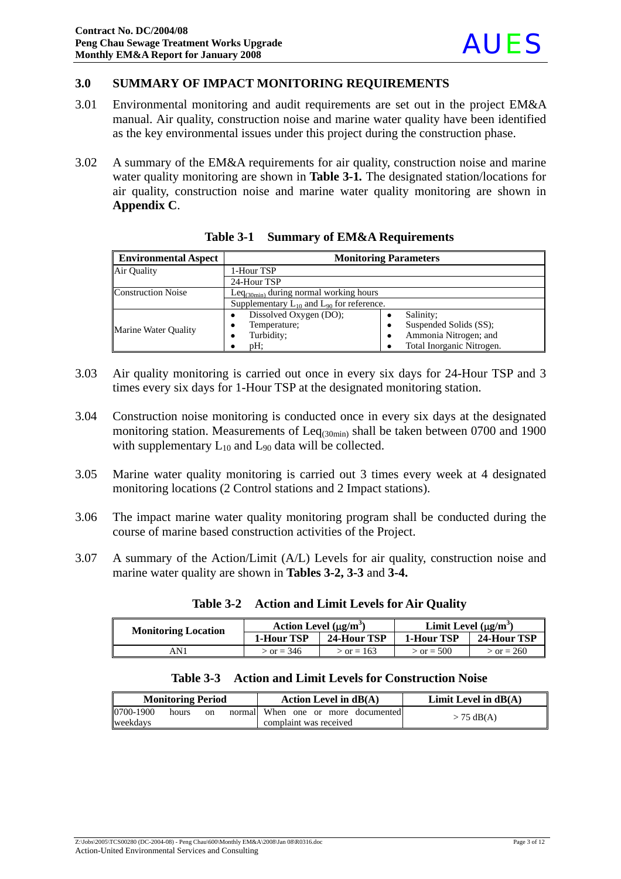## **3.0 SUMMARY OF IMPACT MONITORING REQUIREMENTS**

- 3.01 Environmental monitoring and audit requirements are set out in the project EM&A manual. Air quality, construction noise and marine water quality have been identified as the key environmental issues under this project during the construction phase.
- 3.02 A summary of the EM&A requirements for air quality, construction noise and marine water quality monitoring are shown in **Table 3-1***.* The designated station/locations for air quality, construction noise and marine water quality monitoring are shown in **Appendix C**.

| <b>Environmental Aspect</b> | <b>Monitoring Parameters</b>                       |                           |  |
|-----------------------------|----------------------------------------------------|---------------------------|--|
| Air Ouality                 | 1-Hour TSP                                         |                           |  |
|                             | 24-Hour TSP                                        |                           |  |
| <b>Construction Noise</b>   | Leq $_{(30min)}$ during normal working hours       |                           |  |
|                             | Supplementary $L_{10}$ and $L_{90}$ for reference. |                           |  |
|                             | Dissolved Oxygen (DO);<br>٠                        | Salinity;                 |  |
| Marine Water Quality        | Temperature;<br>٠                                  | Suspended Solids (SS);    |  |
|                             | Turbidity;                                         | Ammonia Nitrogen; and     |  |
|                             | $pH$ :                                             | Total Inorganic Nitrogen. |  |

|  | Table 3-1 Summary of EM&A Requirements |
|--|----------------------------------------|
|  |                                        |

- 3.03 Air quality monitoring is carried out once in every six days for 24-Hour TSP and 3 times every six days for 1-Hour TSP at the designated monitoring station.
- 3.04 Construction noise monitoring is conducted once in every six days at the designated monitoring station. Measurements of  $\text{Leq}_{(30\text{min})}$  shall be taken between 0700 and 1900 with supplementary  $L_{10}$  and  $L_{90}$  data will be collected.
- 3.05 Marine water quality monitoring is carried out 3 times every week at 4 designated monitoring locations (2 Control stations and 2 Impact stations).
- 3.06 The impact marine water quality monitoring program shall be conducted during the course of marine based construction activities of the Project.
- 3.07 A summary of the Action/Limit (A/L) Levels for air quality, construction noise and marine water quality are shown in **Tables 3-2, 3-3** and **3-4.**

| <b>Monitoring Location</b> | Action Level $(\mu g/m^3)$ |              | Limit Level $(\mu g/m^3)$ |              |
|----------------------------|----------------------------|--------------|---------------------------|--------------|
|                            | 1-Hour TSP                 | 24-Hour TSP  | 1-Hour TSP                | 24-Hour TSP  |
| AN 1                       | $>$ or = 346               | $>$ or = 163 | $>$ or = 500              | $>$ or = 260 |

|  |  |  | Table 3-2 Action and Limit Levels for Air Quality |
|--|--|--|---------------------------------------------------|
|--|--|--|---------------------------------------------------|

| <b>Monitoring Period</b> |       | Action Level in $dB(A)$ | Limit Level in $dB(A)$             |              |
|--------------------------|-------|-------------------------|------------------------------------|--------------|
| 0700-1900                | hours | <sub>on</sub>           | normal When one or more documented | $> 75$ dB(A) |
| weekdavs                 |       |                         | complaint was received             |              |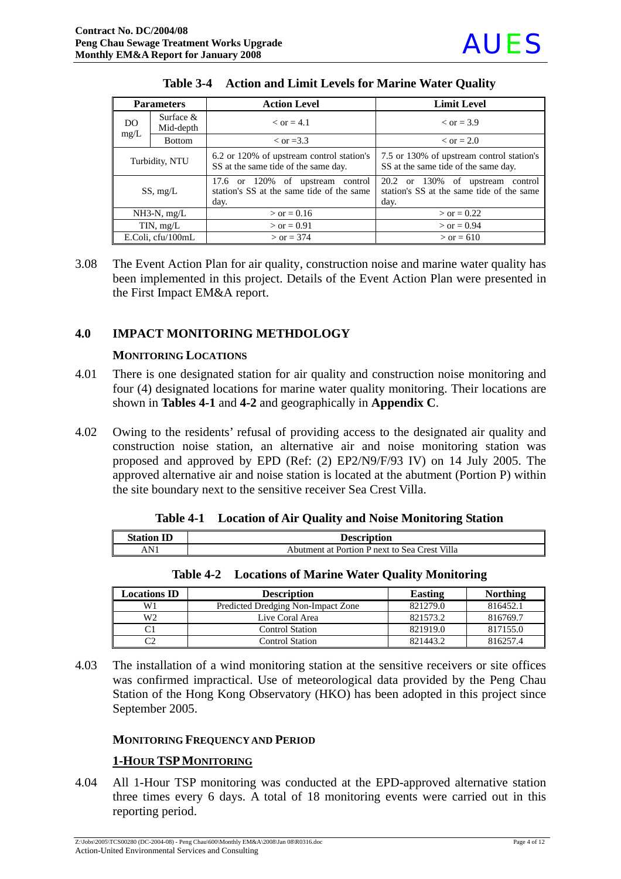

| <b>Parameters</b> |                          | <b>Action Level</b>                                                                   | <b>Limit Level</b>                                                                    |  |
|-------------------|--------------------------|---------------------------------------------------------------------------------------|---------------------------------------------------------------------------------------|--|
| DO.               | Surface $&$<br>Mid-depth | $\epsilon$ or $=$ 4.1                                                                 | $\epsilon$ or = 3.9                                                                   |  |
| mg/L              | <b>Bottom</b>            | $\epsilon$ or =3.3                                                                    | $\epsilon$ or = 2.0                                                                   |  |
| Turbidity, NTU    |                          | 6.2 or 120% of upstream control station's<br>SS at the same tide of the same day.     | 7.5 or 130% of upstream control station's<br>SS at the same tide of the same day.     |  |
| SS, mg/L          |                          | 17.6 or 120% of upstream control<br>station's SS at the same tide of the same<br>day. | 20.2 or 130% of upstream control<br>station's SS at the same tide of the same<br>day. |  |
| $NH3-N$ , mg/L    |                          | $>$ or = 0.16                                                                         | $>$ or = 0.22                                                                         |  |
| TIN, $mg/L$       |                          | $>$ or = 0.91                                                                         | $>$ or = 0.94                                                                         |  |
| E.Coli, cfu/100mL |                          | $>$ or = 374                                                                          | $>$ or = 610                                                                          |  |

#### **Table 3-4 Action and Limit Levels for Marine Water Quality**

3.08 The Event Action Plan for air quality, construction noise and marine water quality has been implemented in this project. Details of the Event Action Plan were presented in the First Impact EM&A report.

#### **4.0 IMPACT MONITORING METHDOLOGY**

#### **MONITORING LOCATIONS**

- 4.01 There is one designated station for air quality and construction noise monitoring and four (4) designated locations for marine water quality monitoring. Their locations are shown in **Tables 4-1** and **4-2** and geographically in **Appendix C**.
- 4.02 Owing to the residents' refusal of providing access to the designated air quality and construction noise station, an alternative air and noise monitoring station was proposed and approved by EPD (Ref: (2) EP2/N9/F/93 IV) on 14 July 2005. The approved alternative air and noise station is located at the abutment (Portion P) within the site boundary next to the sensitive receiver Sea Crest Villa.

|  |  |  | Table 4-1 Location of Air Quality and Noise Monitoring Station |
|--|--|--|----------------------------------------------------------------|
|--|--|--|----------------------------------------------------------------|

| <b>Station</b> | <b>Description</b>                            |
|----------------|-----------------------------------------------|
| AN 1           | Abutment at Portion P next to Sea Crest Villa |
|                |                                               |

|  | <b>Table 4-2</b> Locations of Marine Water Quality Monitoring |  |
|--|---------------------------------------------------------------|--|
|--|---------------------------------------------------------------|--|

| <b>Locations ID</b> | <b>Description</b>                 | Easting  | <b>Northing</b> |
|---------------------|------------------------------------|----------|-----------------|
| W1                  | Predicted Dredging Non-Impact Zone | 821279.0 | 816452.1        |
| W2                  | Live Coral Area                    | 821573.2 | 816769.7        |
|                     | <b>Control Station</b>             | 821919.0 | 817155.0        |
| $\sim$              | Control Station                    | 821443.2 | 816257.4        |

4.03 The installation of a wind monitoring station at the sensitive receivers or site offices was confirmed impractical. Use of meteorological data provided by the Peng Chau Station of the Hong Kong Observatory (HKO) has been adopted in this project since September 2005.

#### **MONITORING FREQUENCY AND PERIOD**

#### **1-HOUR TSPMONITORING**

4.04 All 1-Hour TSP monitoring was conducted at the EPD-approved alternative station three times every 6 days. A total of 18 monitoring events were carried out in this reporting period.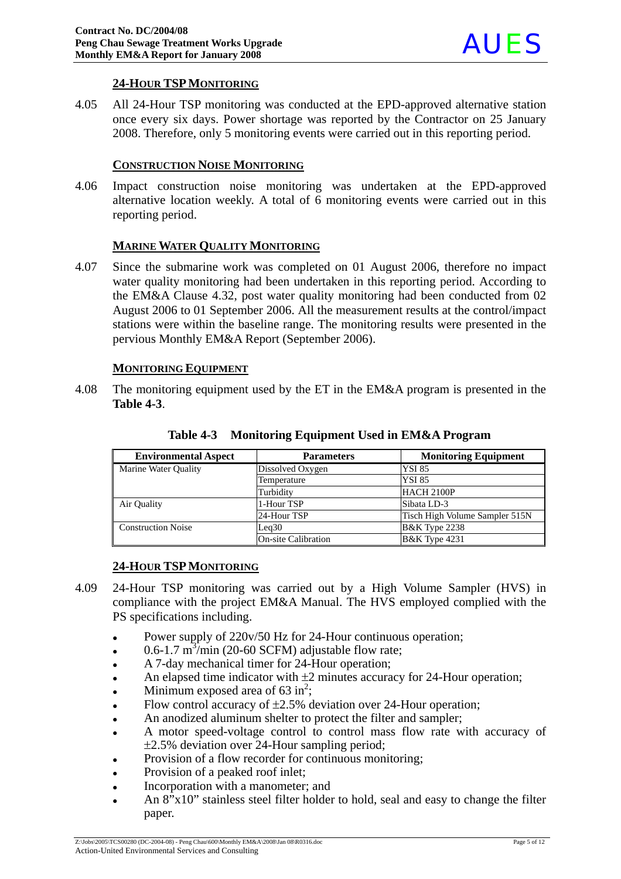## **24-HOUR TSPMONITORING**

4.05 All 24-Hour TSP monitoring was conducted at the EPD-approved alternative station once every six days. Power shortage was reported by the Contractor on 25 January 2008. Therefore, only 5 monitoring events were carried out in this reporting period.

#### **CONSTRUCTION NOISE MONITORING**

4.06 Impact construction noise monitoring was undertaken at the EPD-approved alternative location weekly. A total of 6 monitoring events were carried out in this reporting period.

#### **MARINE WATER QUALITY MONITORING**

4.07 Since the submarine work was completed on 01 August 2006, therefore no impact water quality monitoring had been undertaken in this reporting period. According to the EM&A Clause 4.32, post water quality monitoring had been conducted from 02 August 2006 to 01 September 2006. All the measurement results at the control/impact stations were within the baseline range. The monitoring results were presented in the pervious Monthly EM&A Report (September 2006).

#### **MONITORING EQUIPMENT**

4.08 The monitoring equipment used by the ET in the EM&A program is presented in the **Table 4-3**.

| <b>Environmental Aspect</b> | <b>Parameters</b>          | <b>Monitoring Equipment</b>    |  |
|-----------------------------|----------------------------|--------------------------------|--|
| Marine Water Quality        | Dissolved Oxygen           | <b>YSI 85</b>                  |  |
|                             | Temperature                | <b>YSI 85</b>                  |  |
|                             | Turbidity                  | <b>HACH 2100P</b>              |  |
| Air Quality                 | 1-Hour TSP                 | Sibata LD-3                    |  |
|                             | 24-Hour TSP                | Tisch High Volume Sampler 515N |  |
| <b>Construction Noise</b>   | Leq30                      | <b>B&amp;K</b> Type 2238       |  |
|                             | <b>On-site Calibration</b> | <b>B&amp;K</b> Type 4231       |  |

**Table 4-3 Monitoring Equipment Used in EM&A Program**

## **24-HOUR TSPMONITORING**

- 4.09 24-Hour TSP monitoring was carried out by a High Volume Sampler (HVS) in compliance with the project EM&A Manual. The HVS employed complied with the PS specifications including.
	- Power supply of 220v/50 Hz for 24-Hour continuous operation;
	- $\cdot$  0.6-1.7 m<sup>3</sup>/min (20-60 SCFM) adjustable flow rate;
	- A 7-day mechanical timer for 24-Hour operation;
	- An elapsed time indicator with  $\pm 2$  minutes accuracy for 24-Hour operation;
	- Minimum exposed area of  $63 \text{ in}^2$ ;
	- Flow control accuracy of  $\pm 2.5$ % deviation over 24-Hour operation;
	- An anodized aluminum shelter to protect the filter and sampler;
	- A motor speed-voltage control to control mass flow rate with accuracy of ±2.5% deviation over 24-Hour sampling period;
	- Provision of a flow recorder for continuous monitoring;
	- Provision of a peaked roof inlet;
	- Incorporation with a manometer; and
	- An  $8"x10"$  stainless steel filter holder to hold, seal and easy to change the filter paper.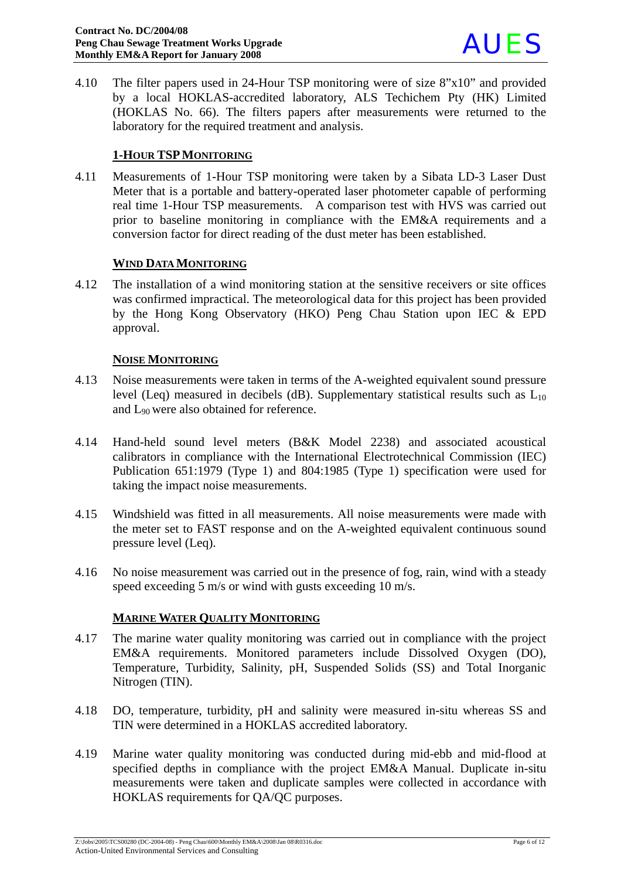

4.10 The filter papers used in 24-Hour TSP monitoring were of size 8"x10" and provided by a local HOKLAS-accredited laboratory, ALS Techichem Pty (HK) Limited (HOKLAS No. 66). The filters papers after measurements were returned to the laboratory for the required treatment and analysis.

## **1-HOUR TSPMONITORING**

4.11 Measurements of 1-Hour TSP monitoring were taken by a Sibata LD-3 Laser Dust Meter that is a portable and battery-operated laser photometer capable of performing real time 1-Hour TSP measurements. A comparison test with HVS was carried out prior to baseline monitoring in compliance with the EM&A requirements and a conversion factor for direct reading of the dust meter has been established.

#### **WIND DATA MONITORING**

4.12 The installation of a wind monitoring station at the sensitive receivers or site offices was confirmed impractical. The meteorological data for this project has been provided by the Hong Kong Observatory (HKO) Peng Chau Station upon IEC & EPD approval.

#### **NOISE MONITORING**

- 4.13 Noise measurements were taken in terms of the A-weighted equivalent sound pressure level (Leq) measured in decibels (dB). Supplementary statistical results such as  $L_{10}$ and L90 were also obtained for reference.
- 4.14 Hand-held sound level meters (B&K Model 2238) and associated acoustical calibrators in compliance with the International Electrotechnical Commission (IEC) Publication 651:1979 (Type 1) and 804:1985 (Type 1) specification were used for taking the impact noise measurements.
- 4.15 Windshield was fitted in all measurements. All noise measurements were made with the meter set to FAST response and on the A-weighted equivalent continuous sound pressure level (Leq).
- 4.16 No noise measurement was carried out in the presence of fog, rain, wind with a steady speed exceeding 5 m/s or wind with gusts exceeding 10 m/s.

## **MARINE WATER QUALITY MONITORING**

- 4.17 The marine water quality monitoring was carried out in compliance with the project EM&A requirements. Monitored parameters include Dissolved Oxygen (DO), Temperature, Turbidity, Salinity, pH, Suspended Solids (SS) and Total Inorganic Nitrogen (TIN).
- 4.18 DO, temperature, turbidity, pH and salinity were measured in-situ whereas SS and TIN were determined in a HOKLAS accredited laboratory.
- 4.19 Marine water quality monitoring was conducted during mid-ebb and mid-flood at specified depths in compliance with the project EM&A Manual. Duplicate in-situ measurements were taken and duplicate samples were collected in accordance with HOKLAS requirements for QA/QC purposes.

Z:\Jobs\2005\TCS00280 (DC-2004-08) - Peng Chau\600\Monthly EM&A\2008\Jan 08\R0316.doc Page 6 of 12 Action-United Environmental Services and Consulting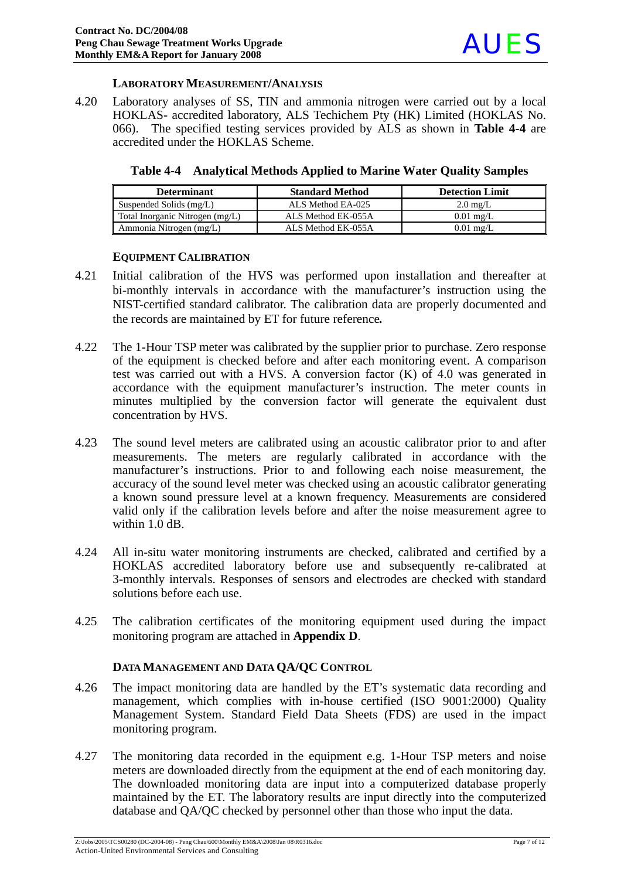#### **LABORATORY MEASUREMENT/ANALYSIS**

4.20 Laboratory analyses of SS, TIN and ammonia nitrogen were carried out by a local HOKLAS- accredited laboratory, ALS Techichem Pty (HK) Limited (HOKLAS No. 066). The specified testing services provided by ALS as shown in **Table 4-4** are accredited under the HOKLAS Scheme.

| <b>Determinant</b>              | <b>Standard Method</b> | <b>Detection Limit</b> |
|---------------------------------|------------------------|------------------------|
| Suspended Solids (mg/L)         | ALS Method EA-025      | $2.0 \text{ mg/L}$     |
| Total Inorganic Nitrogen (mg/L) | ALS Method EK-055A     | $0.01 \text{ mg/L}$    |
| Ammonia Nitrogen (mg/L)         | ALS Method EK-055A     | $0.01$ mg/L            |

#### **Table 4-4 Analytical Methods Applied to Marine Water Quality Samples**

#### **EQUIPMENT CALIBRATION**

- 4.21 Initial calibration of the HVS was performed upon installation and thereafter at bi-monthly intervals in accordance with the manufacturer's instruction using the NIST-certified standard calibrator. The calibration data are properly documented and the records are maintained by ET for future reference*.*
- 4.22 The 1-Hour TSP meter was calibrated by the supplier prior to purchase. Zero response of the equipment is checked before and after each monitoring event. A comparison test was carried out with a HVS. A conversion factor (K) of 4.0 was generated in accordance with the equipment manufacturer's instruction. The meter counts in minutes multiplied by the conversion factor will generate the equivalent dust concentration by HVS.
- 4.23 The sound level meters are calibrated using an acoustic calibrator prior to and after measurements. The meters are regularly calibrated in accordance with the manufacturer's instructions. Prior to and following each noise measurement, the accuracy of the sound level meter was checked using an acoustic calibrator generating a known sound pressure level at a known frequency. Measurements are considered valid only if the calibration levels before and after the noise measurement agree to within 1.0 dB.
- 4.24 All in-situ water monitoring instruments are checked, calibrated and certified by a HOKLAS accredited laboratory before use and subsequently re-calibrated at 3-monthly intervals. Responses of sensors and electrodes are checked with standard solutions before each use.
- 4.25 The calibration certificates of the monitoring equipment used during the impact monitoring program are attached in **Appendix D**.

#### **DATA MANAGEMENT AND DATA QA/QC CONTROL**

- 4.26 The impact monitoring data are handled by the ET's systematic data recording and management, which complies with in-house certified (ISO 9001:2000) Quality Management System. Standard Field Data Sheets (FDS) are used in the impact monitoring program.
- 4.27 The monitoring data recorded in the equipment e.g. 1-Hour TSP meters and noise meters are downloaded directly from the equipment at the end of each monitoring day. The downloaded monitoring data are input into a computerized database properly maintained by the ET. The laboratory results are input directly into the computerized database and QA/QC checked by personnel other than those who input the data.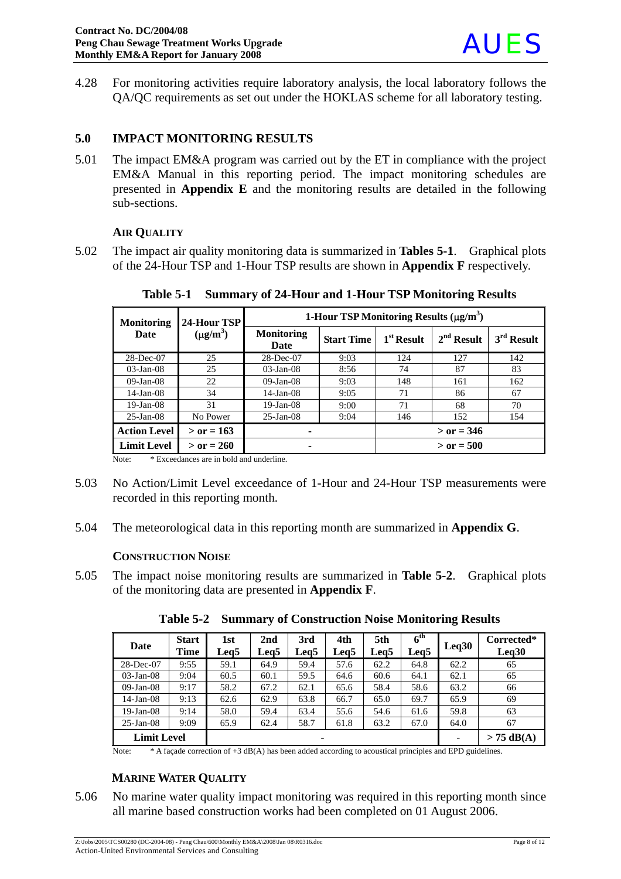4.28 For monitoring activities require laboratory analysis, the local laboratory follows the QA/QC requirements as set out under the HOKLAS scheme for all laboratory testing.

## **5.0 IMPACT MONITORING RESULTS**

5.01 The impact EM&A program was carried out by the ET in compliance with the project EM&A Manual in this reporting period. The impact monitoring schedules are presented in **Appendix E** and the monitoring results are detailed in the following sub-sections.

## **AIR QUALITY**

5.02 The impact air quality monitoring data is summarized in **Tables 5-1**. Graphical plots of the 24-Hour TSP and 1-Hour TSP results are shown in **Appendix F** respectively.

| <b>Monitoring</b>   | 24-Hour TSP   | 1-Hour TSP Monitoring Results $(\mu g/m^3)$ |                   |              |              |              |
|---------------------|---------------|---------------------------------------------|-------------------|--------------|--------------|--------------|
| Date                | $(\mu g/m^3)$ | <b>Monitoring</b><br>Date                   | <b>Start Time</b> | $1st$ Result | $2nd$ Result | $3rd$ Result |
| 28-Dec-07           | 25            | 28-Dec-07                                   | 9:03              | 124          | 127          | 142          |
| $03$ -Jan- $08$     | 25            | $03$ -Jan- $08$                             | 8:56              | 74           | 87           | 83           |
| $09-Jan-08$         | 22            | $09$ -Jan- $08$                             | 9:03              | 148          | 161          | 162          |
| $14$ -Jan-08        | 34            | $14$ -Jan-08                                | 9:05              | 71           | 86           | 67           |
| $19$ -Jan-08        | 31            | $19$ -Jan-08                                | 9:00              | 71           | 68           | 70           |
| $25$ -Jan-08        | No Power      | $25$ -Jan-08                                | 9:04              | 146          | 152          | 154          |
| <b>Action Level</b> | $>$ or = 163  | ۰                                           |                   | $>$ or = 346 |              |              |
| <b>Limit Level</b>  | $>$ or = 260  | ۰                                           |                   | $>$ or = 500 |              |              |

**Table 5-1 Summary of 24-Hour and 1-Hour TSP Monitoring Results** 

Note: \* Exceedances are in bold and underline.

- 5.03 No Action/Limit Level exceedance of 1-Hour and 24-Hour TSP measurements were recorded in this reporting month.
- 5.04 The meteorological data in this reporting month are summarized in **Appendix G**.

#### **CONSTRUCTION NOISE**

5.05 The impact noise monitoring results are summarized in **Table 5-2**. Graphical plots of the monitoring data are presented in **Appendix F**.

| Date               | <b>Start</b><br><b>Time</b> | 1st<br>Leg <sub>5</sub> | 2nd<br>Leg5 | 3rd<br>Leg5 | 4th<br>Leg5 | 5th<br>Leg5 | 6 <sup>th</sup><br>Leg5 | Leq30 | Corrected*<br>Leq30 |
|--------------------|-----------------------------|-------------------------|-------------|-------------|-------------|-------------|-------------------------|-------|---------------------|
| 28-Dec-07          | 9:55                        | 59.1                    | 64.9        | 59.4        | 57.6        | 62.2        | 64.8                    | 62.2  | 65                  |
| $03$ -Jan- $08$    | 9:04                        | 60.5                    | 60.1        | 59.5        | 64.6        | 60.6        | 64.1                    | 62.1  | 65                  |
| $09$ -Jan- $08$    | 9:17                        | 58.2                    | 67.2        | 62.1        | 65.6        | 58.4        | 58.6                    | 63.2  | 66                  |
| $14$ -Jan-08       | 9:13                        | 62.6                    | 62.9        | 63.8        | 66.7        | 65.0        | 69.7                    | 65.9  | 69                  |
| 19-Jan-08          | 9:14                        | 58.0                    | 59.4        | 63.4        | 55.6        | 54.6        | 61.6                    | 59.8  | 63                  |
| $25$ -Jan-08       | 9:09                        | 65.9                    | 62.4        | 58.7        | 61.8        | 63.2        | 67.0                    | 64.0  | 67                  |
| <b>Limit Level</b> |                             |                         |             | ۰           |             |             |                         |       | $> 75$ dB(A)        |

**Table 5-2 Summary of Construction Noise Monitoring Results** 

Note: \* A façade correction of +3 dB(A) has been added according to acoustical principles and EPD guidelines.

## **MARINE WATER QUALITY**

5.06 No marine water quality impact monitoring was required in this reporting month since all marine based construction works had been completed on 01 August 2006.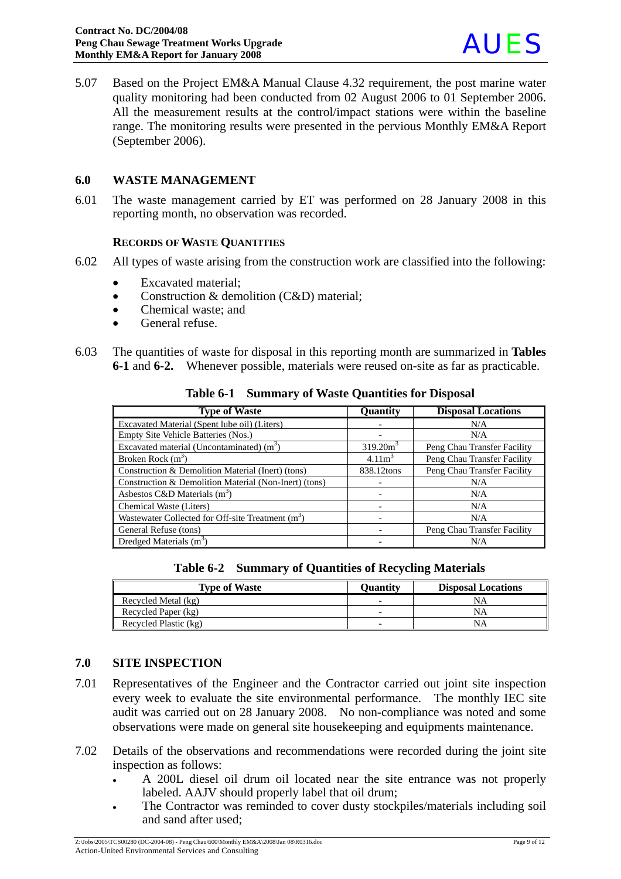

5.07 Based on the Project EM&A Manual Clause 4.32 requirement, the post marine water quality monitoring had been conducted from 02 August 2006 to 01 September 2006. All the measurement results at the control/impact stations were within the baseline range. The monitoring results were presented in the pervious Monthly EM&A Report (September 2006).

#### **6.0 WASTE MANAGEMENT**

6.01 The waste management carried by ET was performed on 28 January 2008 in this reporting month, no observation was recorded.

#### **RECORDS OF WASTE QUANTITIES**

- 6.02 All types of waste arising from the construction work are classified into the following:
	- Excavated material:
	- Construction & demolition (C&D) material:
	- Chemical waste; and
	- General refuse.
- 6.03 The quantities of waste for disposal in this reporting month are summarized in **Tables 6-1** and **6-2.**Whenever possible, materials were reused on-site as far as practicable.

| <b>Type of Waste</b>                                          | Quantity            | <b>Disposal Locations</b>   |
|---------------------------------------------------------------|---------------------|-----------------------------|
| Excavated Material (Spent lube oil) (Liters)                  |                     | N/A                         |
| Empty Site Vehicle Batteries (Nos.)                           |                     | N/A                         |
| Excavated material (Uncontaminated) $(m3)$                    | 319.20 <sup>3</sup> | Peng Chau Transfer Facility |
| Broken Rock $(m^3)$                                           | 4.11 <sup>3</sup>   | Peng Chau Transfer Facility |
| Construction & Demolition Material (Inert) (tons)             | 838.12tons          | Peng Chau Transfer Facility |
| Construction & Demolition Material (Non-Inert) (tons)         |                     | N/A                         |
| Asbestos C&D Materials $(m^3)$                                |                     | N/A                         |
| Chemical Waste (Liters)                                       |                     | N/A                         |
| Wastewater Collected for Off-site Treatment (m <sup>3</sup> ) |                     | N/A                         |
| General Refuse (tons)                                         |                     | Peng Chau Transfer Facility |
| Dredged Materials $(m^3)$                                     |                     | N/A                         |

**Table 6-1 Summary of Waste Quantities for Disposal**

**Table 6-2 Summary of Quantities of Recycling Materials**

| <b>Type of Waste</b>  | Ouantity | <b>Disposal Locations</b> |
|-----------------------|----------|---------------------------|
| Recycled Metal (kg)   |          | NΑ                        |
| Recycled Paper (kg)   |          | NΑ                        |
| Recycled Plastic (kg) |          | NΑ                        |

#### **7.0 SITE INSPECTION**

- 7.01 Representatives of the Engineer and the Contractor carried out joint site inspection every week to evaluate the site environmental performance. The monthly IEC site audit was carried out on 28 January 2008. No non-compliance was noted and some observations were made on general site housekeeping and equipments maintenance.
- 7.02 Details of the observations and recommendations were recorded during the joint site inspection as follows:
	- A 200L diesel oil drum oil located near the site entrance was not properly labeled. AAJV should properly label that oil drum;
	- The Contractor was reminded to cover dusty stockpiles/materials including soil and sand after used;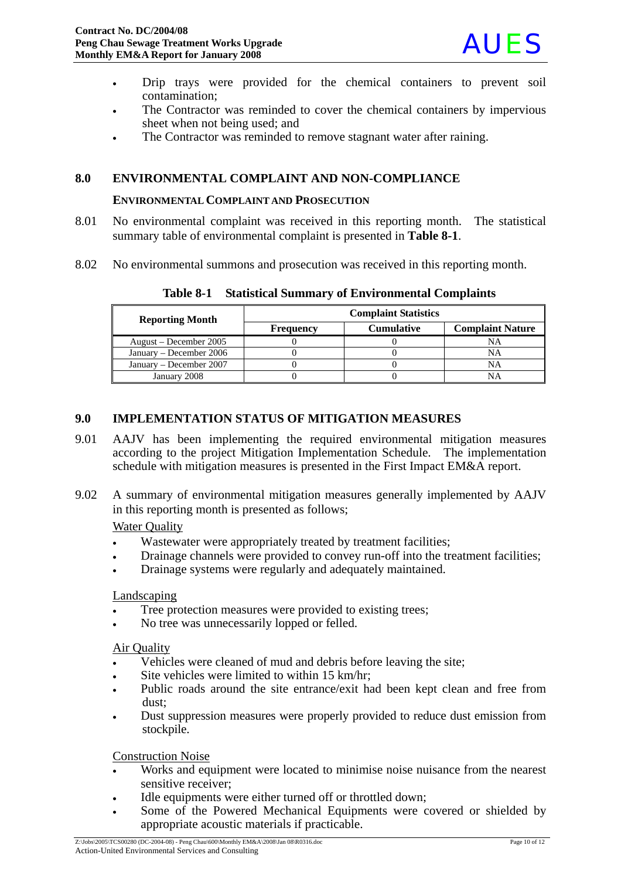

- Drip trays were provided for the chemical containers to prevent soil contamination;
- The Contractor was reminded to cover the chemical containers by impervious sheet when not being used; and
- The Contractor was reminded to remove stagnant water after raining.

## **8.0 ENVIRONMENTAL COMPLAINT AND NON-COMPLIANCE**

#### **ENVIRONMENTAL COMPLAINT AND PROSECUTION**

- 8.01 No environmental complaint was received in this reporting month. The statistical summary table of environmental complaint is presented in **Table 8-1**.
- 8.02 No environmental summons and prosecution was received in this reporting month.

| <b>Reporting Month</b>  | <b>Complaint Statistics</b> |                   |                         |  |  |
|-------------------------|-----------------------------|-------------------|-------------------------|--|--|
|                         | <b>Frequency</b>            | <b>Cumulative</b> | <b>Complaint Nature</b> |  |  |
| August – December 2005  |                             |                   | NA                      |  |  |
| January – December 2006 |                             |                   | NA                      |  |  |
| January – December 2007 |                             |                   | NΑ                      |  |  |
| January 2008            |                             |                   |                         |  |  |

**Table 8-1 Statistical Summary of Environmental Complaints**

#### **9.0 IMPLEMENTATION STATUS OF MITIGATION MEASURES**

- 9.01 AAJV has been implementing the required environmental mitigation measures according to the project Mitigation Implementation Schedule. The implementation schedule with mitigation measures is presented in the First Impact EM&A report.
- 9.02 A summary of environmental mitigation measures generally implemented by AAJV in this reporting month is presented as follows;

#### Water Quality

- Wastewater were appropriately treated by treatment facilities;
- Drainage channels were provided to convey run-off into the treatment facilities;
- Drainage systems were regularly and adequately maintained.

#### Landscaping

- Tree protection measures were provided to existing trees;
- No tree was unnecessarily lopped or felled.

#### Air Quality

- Vehicles were cleaned of mud and debris before leaving the site;
- Site vehicles were limited to within 15 km/hr;
- Public roads around the site entrance/exit had been kept clean and free from dust;
- Dust suppression measures were properly provided to reduce dust emission from stockpile.

#### Construction Noise

- Works and equipment were located to minimise noise nuisance from the nearest sensitive receiver;
- Idle equipments were either turned off or throttled down;
- Some of the Powered Mechanical Equipments were covered or shielded by appropriate acoustic materials if practicable.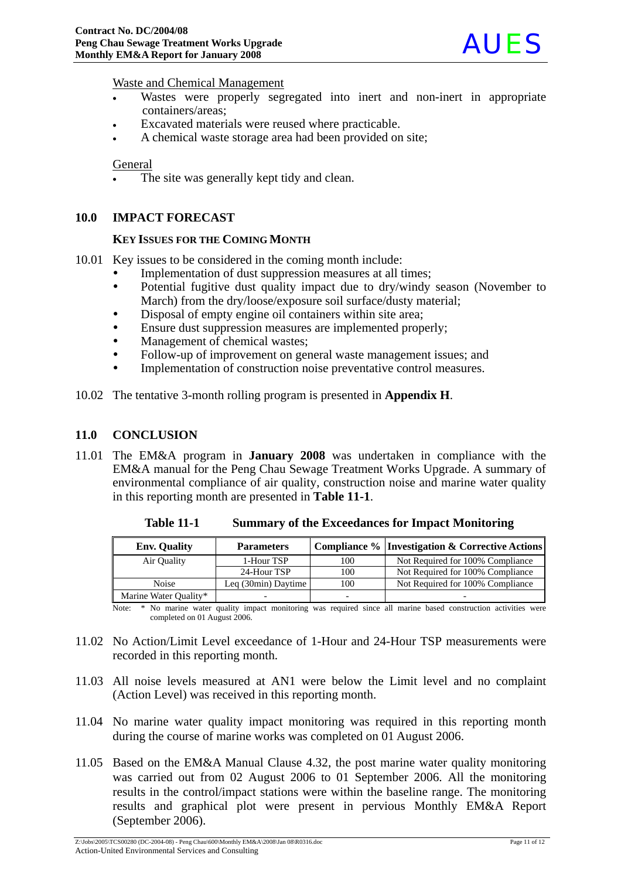

Waste and Chemical Management

- Wastes were properly segregated into inert and non-inert in appropriate containers/areas;
- Excavated materials were reused where practicable.
- A chemical waste storage area had been provided on site;

#### General

The site was generally kept tidy and clean.

#### **10.0 IMPACT FORECAST**

#### **KEY ISSUES FOR THE COMING MONTH**

- 10.01 Key issues to be considered in the coming month include:
	- Implementation of dust suppression measures at all times;
	- Potential fugitive dust quality impact due to dry/windy season (November to March) from the dry/loose/exposure soil surface/dusty material;
	- Disposal of empty engine oil containers within site area;
	- Ensure dust suppression measures are implemented properly;
	- Management of chemical wastes;
	- Follow-up of improvement on general waste management issues; and
	- Implementation of construction noise preventative control measures.
- 10.02 The tentative 3-month rolling program is presented in **Appendix H**.

#### **11.0 CONCLUSION**

11.01 The EM&A program in **January 2008** was undertaken in compliance with the EM&A manual for the Peng Chau Sewage Treatment Works Upgrade. A summary of environmental compliance of air quality, construction noise and marine water quality in this reporting month are presented in **Table 11-1**.

| <b>Env. Quality</b>   | <b>Parameters</b>   |                          | <b>Compliance % Investigation &amp; Corrective Actions</b> |
|-----------------------|---------------------|--------------------------|------------------------------------------------------------|
| Air Quality           | 1-Hour TSP          | 100                      | Not Required for 100% Compliance                           |
|                       | 24-Hour TSP         | 100                      | Not Required for 100% Compliance                           |
| Noise                 | Leg (30min) Daytime | 100                      | Not Required for 100% Compliance                           |
| Marine Water Quality* |                     | $\overline{\phantom{0}}$ |                                                            |

**Table 11-1 Summary of the Exceedances for Impact Monitoring**

Note: \* No marine water quality impact monitoring was required since all marine based construction activities were completed on 01 August 2006.

- 11.02 No Action/Limit Level exceedance of 1-Hour and 24-Hour TSP measurements were recorded in this reporting month.
- 11.03 All noise levels measured at AN1 were below the Limit level and no complaint (Action Level) was received in this reporting month.
- 11.04 No marine water quality impact monitoring was required in this reporting month during the course of marine works was completed on 01 August 2006.
- 11.05 Based on the EM&A Manual Clause 4.32, the post marine water quality monitoring was carried out from 02 August 2006 to 01 September 2006. All the monitoring results in the control/impact stations were within the baseline range. The monitoring results and graphical plot were present in pervious Monthly EM&A Report (September 2006).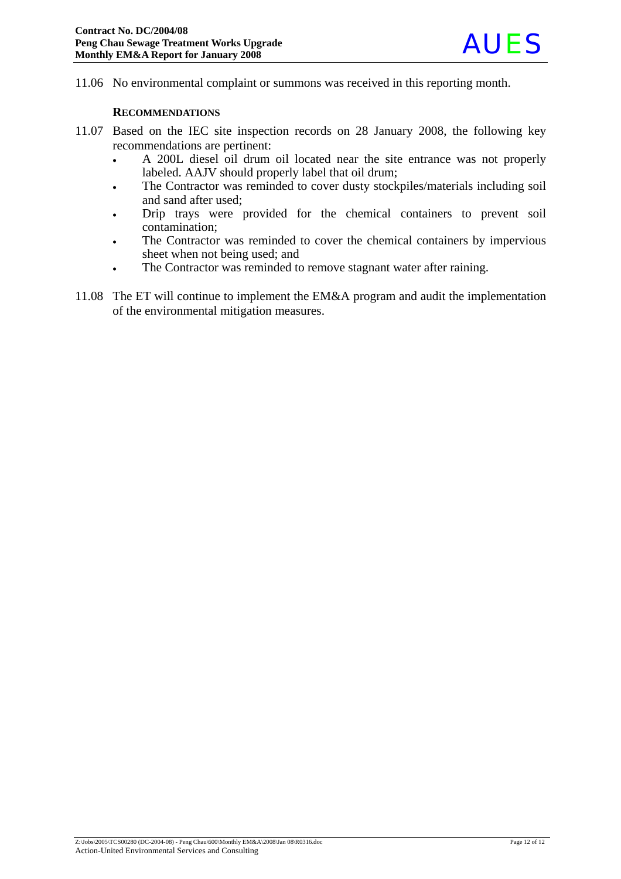11.06 No environmental complaint or summons was received in this reporting month.

#### **RECOMMENDATIONS**

- 11.07 Based on the IEC site inspection records on 28 January 2008, the following key recommendations are pertinent:
	- A 200L diesel oil drum oil located near the site entrance was not properly labeled. AAJV should properly label that oil drum;
	- The Contractor was reminded to cover dusty stockpiles/materials including soil and sand after used;
	- Drip trays were provided for the chemical containers to prevent soil contamination;
	- The Contractor was reminded to cover the chemical containers by impervious sheet when not being used; and
	- The Contractor was reminded to remove stagnant water after raining.
- 11.08 The ET will continue to implement the EM&A program and audit the implementation of the environmental mitigation measures.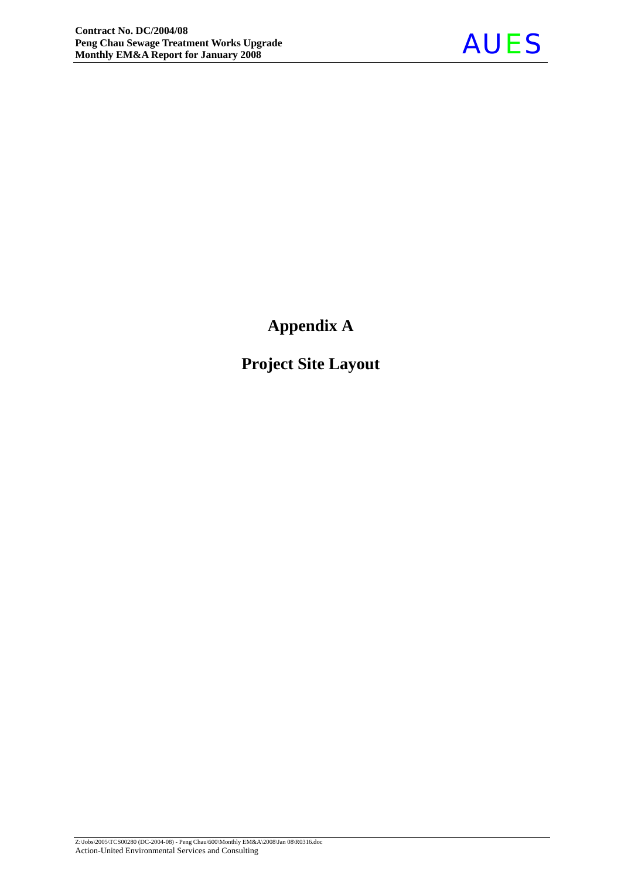

**Appendix A** 

**Project Site Layout**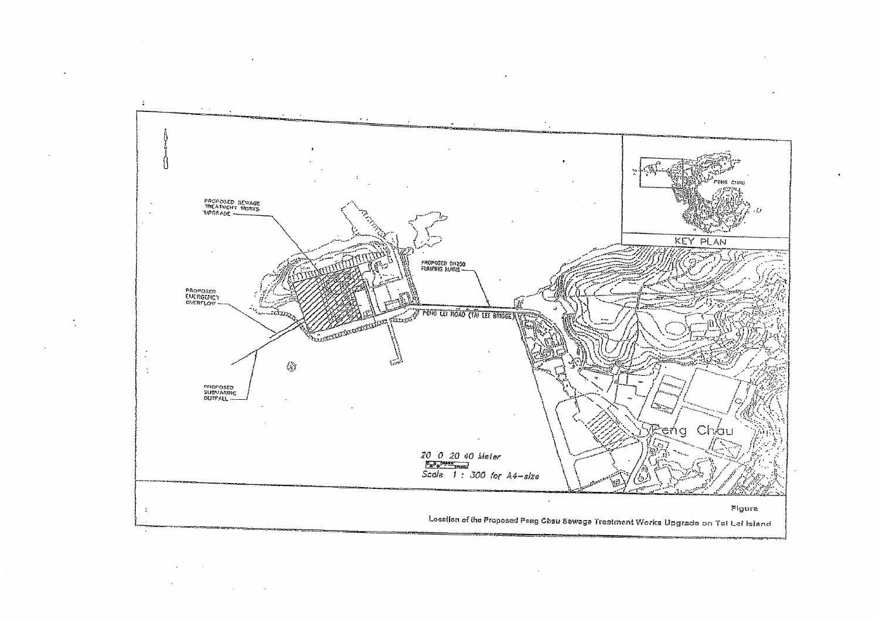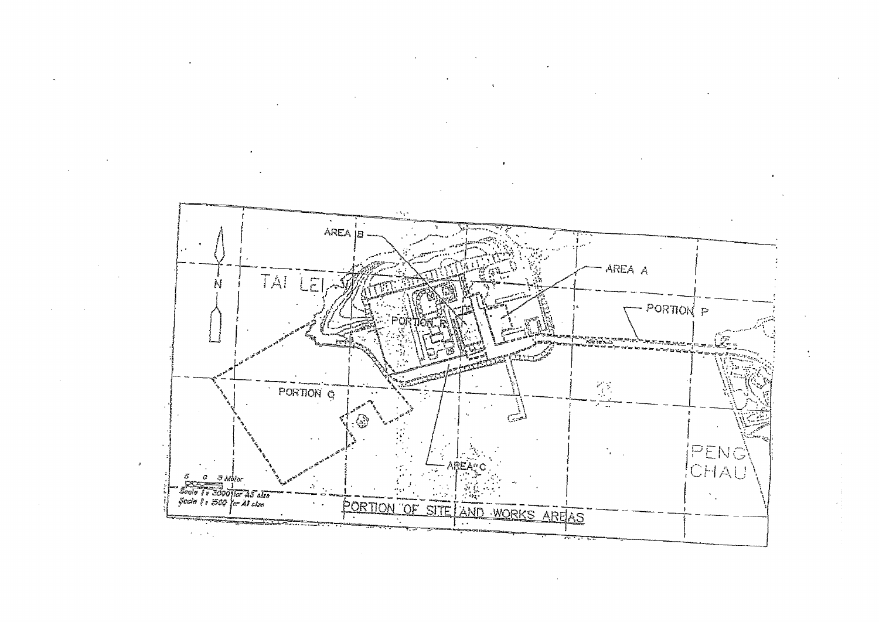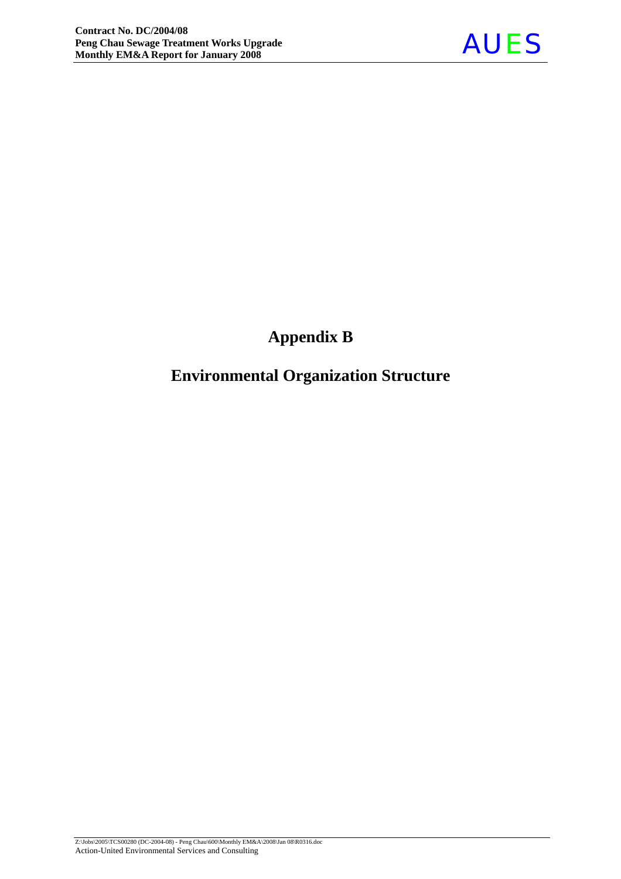

# **Appendix B**

# **Environmental Organization Structure**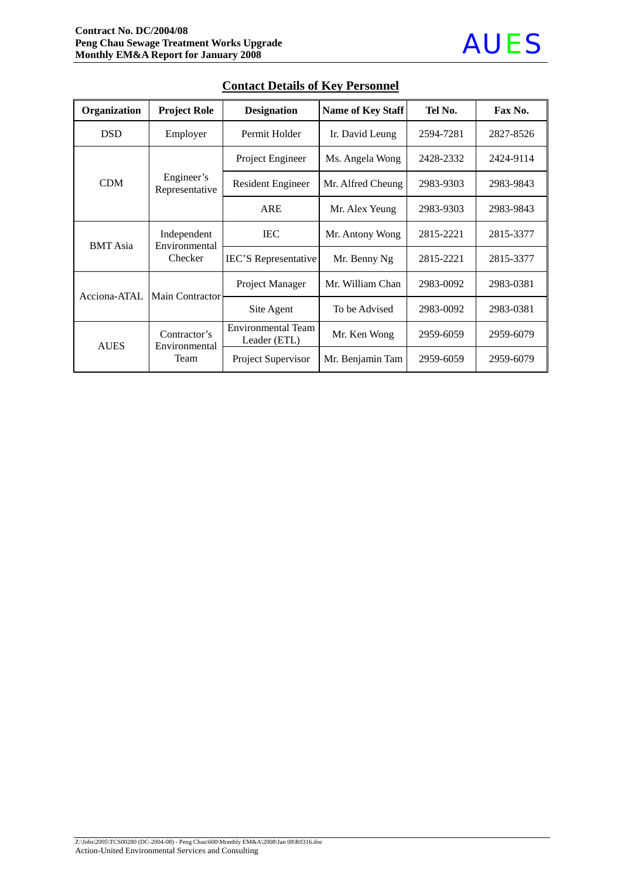| Organization    | <b>Project Role</b>                     | <b>Designation</b>                        | Name of Key Staff            | Tel No.   | Fax No.   |
|-----------------|-----------------------------------------|-------------------------------------------|------------------------------|-----------|-----------|
| <b>DSD</b>      | Employer                                | Permit Holder                             | Ir. David Leung<br>2594-7281 |           | 2827-8526 |
|                 |                                         | Project Engineer                          | Ms. Angela Wong              | 2428-2332 | 2424-9114 |
| <b>CDM</b>      | Engineer's<br>Representative            | Resident Engineer                         | Mr. Alfred Cheung            | 2983-9303 | 2983-9843 |
|                 |                                         | <b>ARE</b>                                | Mr. Alex Yeung               | 2983-9303 | 2983-9843 |
| <b>BMT</b> Asia | Independent<br>Environmental<br>Checker | <b>IEC</b>                                | Mr. Antony Wong              | 2815-2221 | 2815-3377 |
|                 |                                         | <b>IEC'S</b> Representative               | Mr. Benny Ng                 | 2815-2221 | 2815-3377 |
|                 |                                         | Project Manager                           | Mr. William Chan             | 2983-0092 | 2983-0381 |
| Acciona-ATAL    | Main Contractor                         | Site Agent                                | To be Advised                | 2983-0092 | 2983-0381 |
| <b>AUES</b>     | Contractor's<br>Environmental<br>Team   | <b>Environmental Team</b><br>Leader (ETL) | Mr. Ken Wong                 | 2959-6059 | 2959-6079 |
|                 |                                         | Project Supervisor                        | Mr. Benjamin Tam             | 2959-6059 | 2959-6079 |

## **Contact Details of Key Personnel**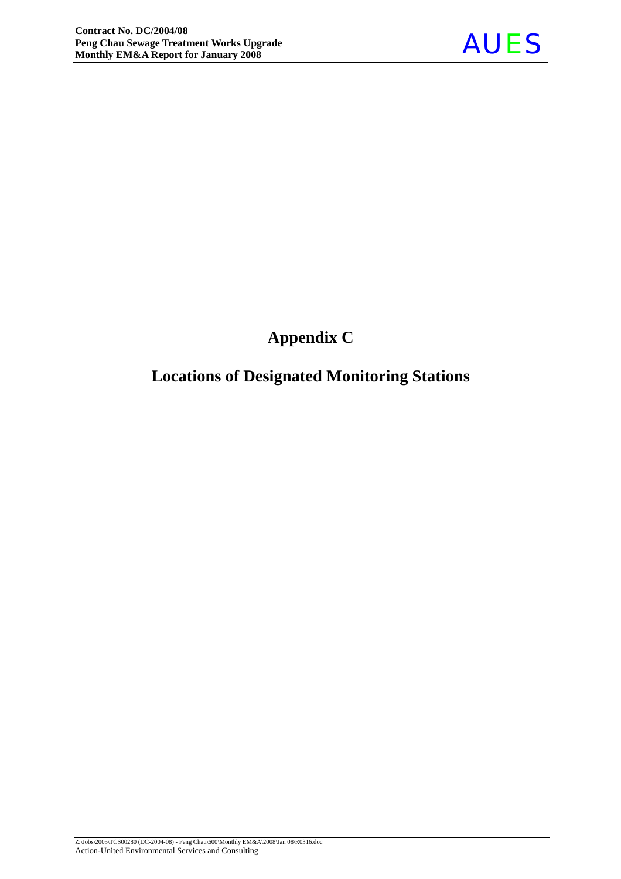

# **Appendix C**

# **Locations of Designated Monitoring Stations**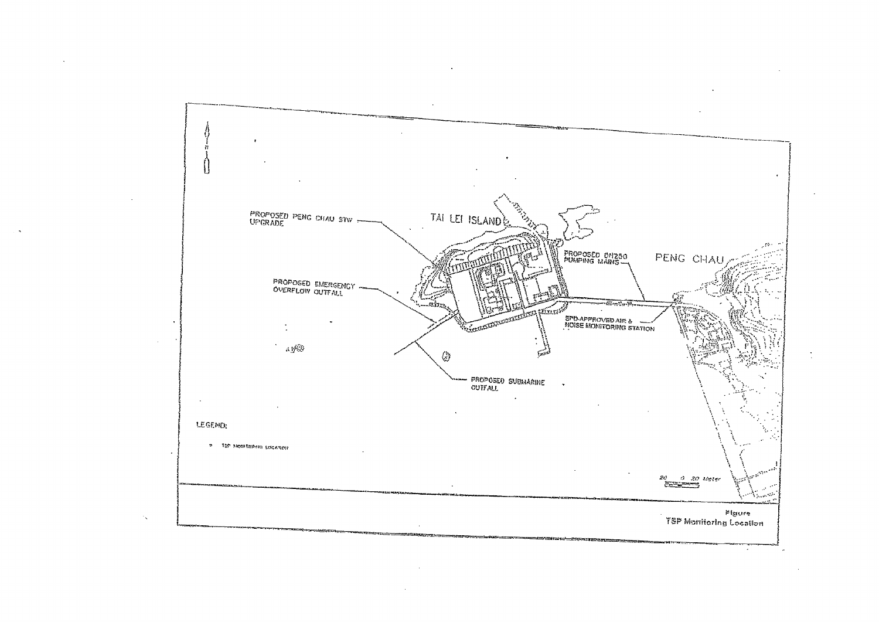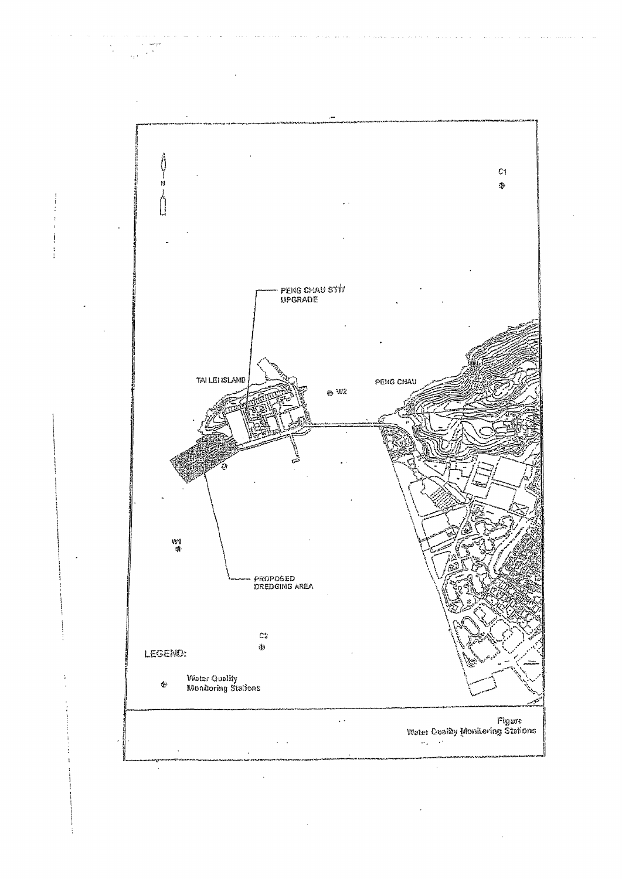

 $\sim$ i<br>San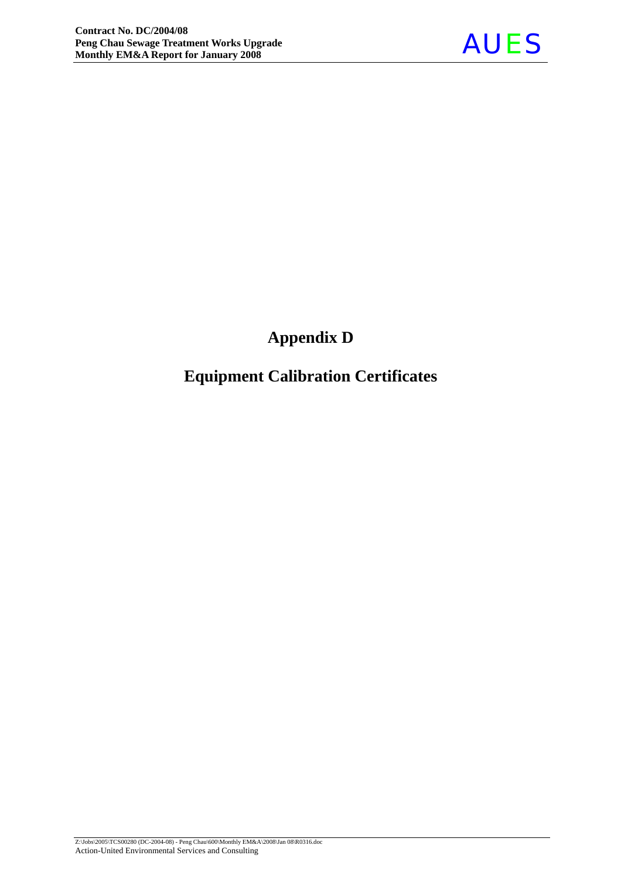

# **Appendix D**

# **Equipment Calibration Certificates**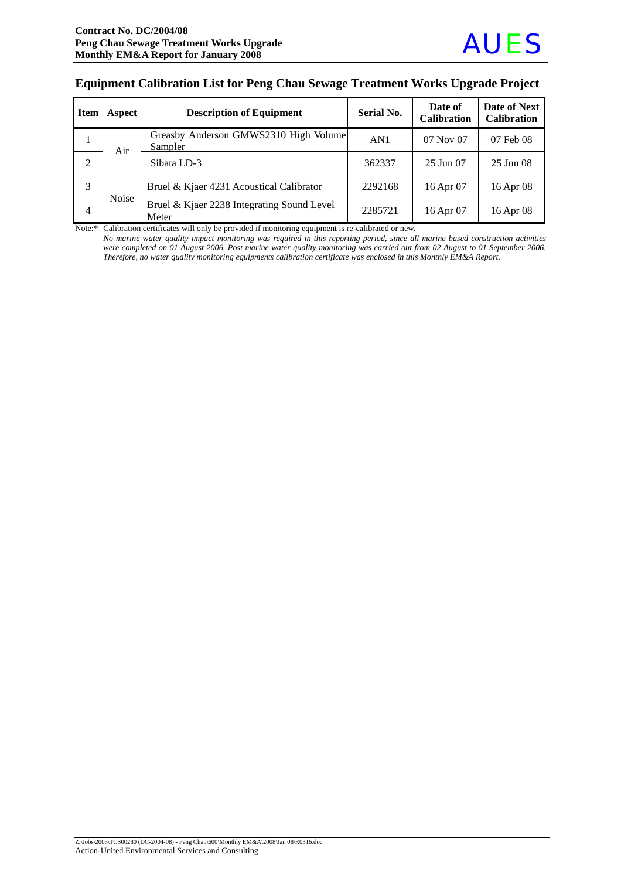#### **Equipment Calibration List for Peng Chau Sewage Treatment Works Upgrade Project**

| <b>Item</b>    | Aspect       | <b>Description of Equipment</b>                     | <b>Serial No.</b> | Date of<br><b>Calibration</b> | Date of Next<br><b>Calibration</b> |
|----------------|--------------|-----------------------------------------------------|-------------------|-------------------------------|------------------------------------|
| 1              | Air          | Greasby Anderson GMWS2310 High Volume<br>Sampler    | AN1               | $07$ Nov $07$                 | 07 Feb 08                          |
| $\overline{2}$ |              | Sibata LD-3                                         | 362337            | 25 Jun 07                     | 25 Jun 08                          |
| 3              |              | Bruel & Kjaer 4231 Acoustical Calibrator            | 2292168           | 16 Apr 07                     | 16 Apr 08                          |
| 4              | <b>Noise</b> | Bruel & Kjaer 2238 Integrating Sound Level<br>Meter | 2285721           | 16 Apr 07                     | 16 Apr 08                          |

Note:\* Calibration certificates will only be provided if monitoring equipment is re-calibrated or new.

*No marine* w*ater quality impact monitoring was required in this reporting period, since all marine based construction activities were completed on 01 August 2006. Post marine water quality monitoring was carried out from 02 August to 01 September 2006. Therefore, no water quality monitoring equipments calibration certificate was enclosed in this Monthly EM&A Report.*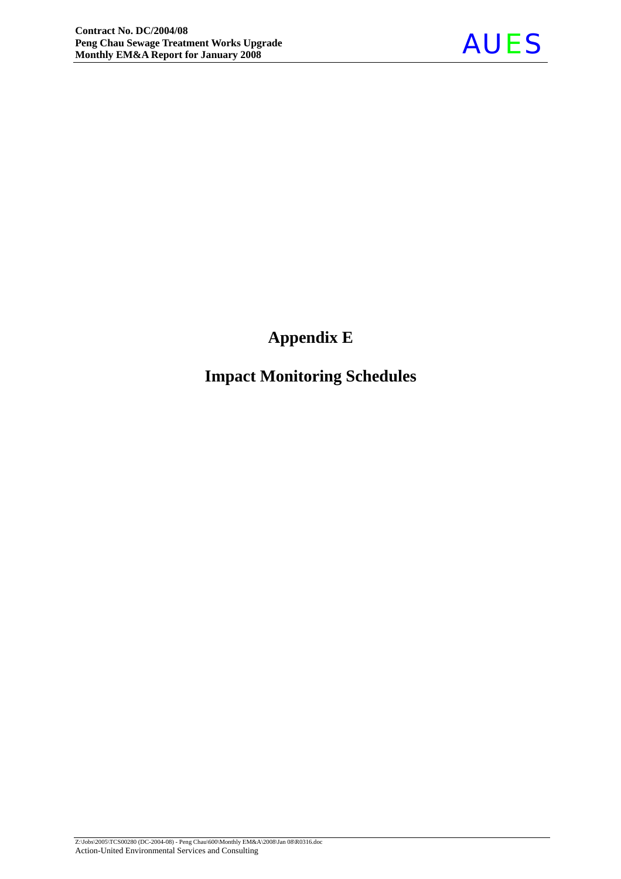

# **Appendix E**

# **Impact Monitoring Schedules**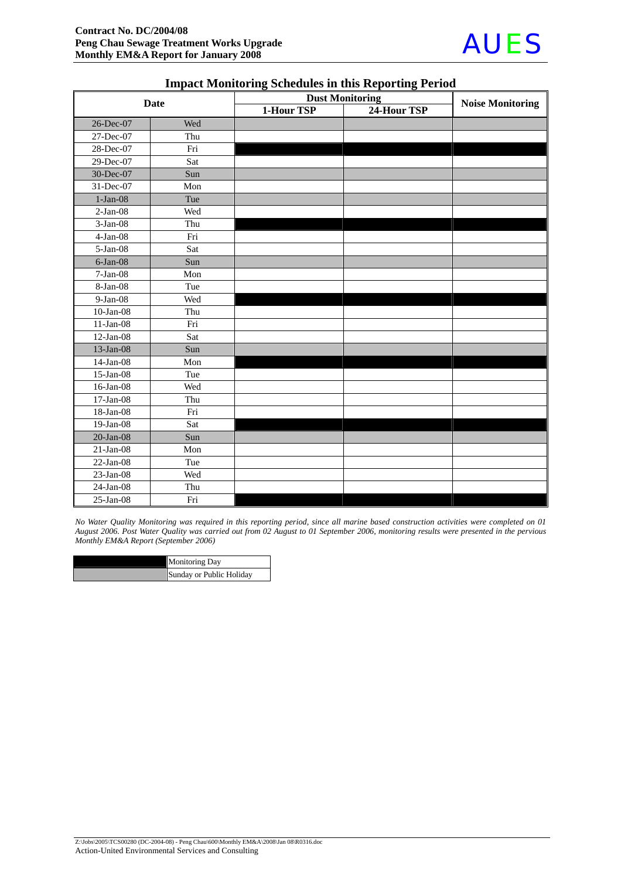

| <b>Date</b>     |     | <b>Dust Monitoring</b> |             | <b>Noise Monitoring</b> |  |
|-----------------|-----|------------------------|-------------|-------------------------|--|
|                 |     | 1-Hour TSP             | 24-Hour TSP |                         |  |
| 26-Dec-07       | Wed |                        |             |                         |  |
| 27-Dec-07       | Thu |                        |             |                         |  |
| 28-Dec-07       | Fri |                        |             |                         |  |
| 29-Dec-07       | Sat |                        |             |                         |  |
| 30-Dec-07       | Sun |                        |             |                         |  |
| 31-Dec-07       | Mon |                        |             |                         |  |
| $1-Jan-08$      | Tue |                        |             |                         |  |
| $2-Jan-08$      | Wed |                        |             |                         |  |
| $3-Jan-08$      | Thu |                        |             |                         |  |
| $4-Jan-08$      | Fri |                        |             |                         |  |
| $5-Ian-08$      | Sat |                        |             |                         |  |
| $6$ -Jan $-08$  | Sun |                        |             |                         |  |
| $7-Jan-08$      | Mon |                        |             |                         |  |
| 8-Jan-08        | Tue |                        |             |                         |  |
| 9-Jan-08        | Wed |                        |             |                         |  |
| $10$ -Jan-08    | Thu |                        |             |                         |  |
| $11-Jan-08$     | Fri |                        |             |                         |  |
| $12-Jan-08$     | Sat |                        |             |                         |  |
| 13-Jan-08       | Sun |                        |             |                         |  |
| $14$ -Jan-08    | Mon |                        |             |                         |  |
| $15$ -Jan-08    | Tue |                        |             |                         |  |
| 16-Jan-08       | Wed |                        |             |                         |  |
| $17$ -Jan-08    | Thu |                        |             |                         |  |
| 18-Jan-08       | Fri |                        |             |                         |  |
| $19-Jan-08$     | Sat |                        |             |                         |  |
| $20$ -Jan- $08$ | Sun |                        |             |                         |  |
| $21-Jan-08$     | Mon |                        |             |                         |  |
| $22-Jan-08$     | Tue |                        |             |                         |  |
| $23$ -Jan-08    | Wed |                        |             |                         |  |
| $24$ -Jan-08    | Thu |                        |             |                         |  |
| $25$ -Jan-08    | Fri |                        |             |                         |  |

#### **Impact Monitoring Schedules in this Reporting Period**

*No Water Quality Monitoring was required in this reporting period, since all marine based construction activities were completed on 01 August 2006. Post Water Quality was carried out from 02 August to 01 September 2006, monitoring results were presented in the pervious Monthly EM&A Report (September 2006)* 

| <b>Monitoring Day</b>    |
|--------------------------|
| Sunday or Public Holiday |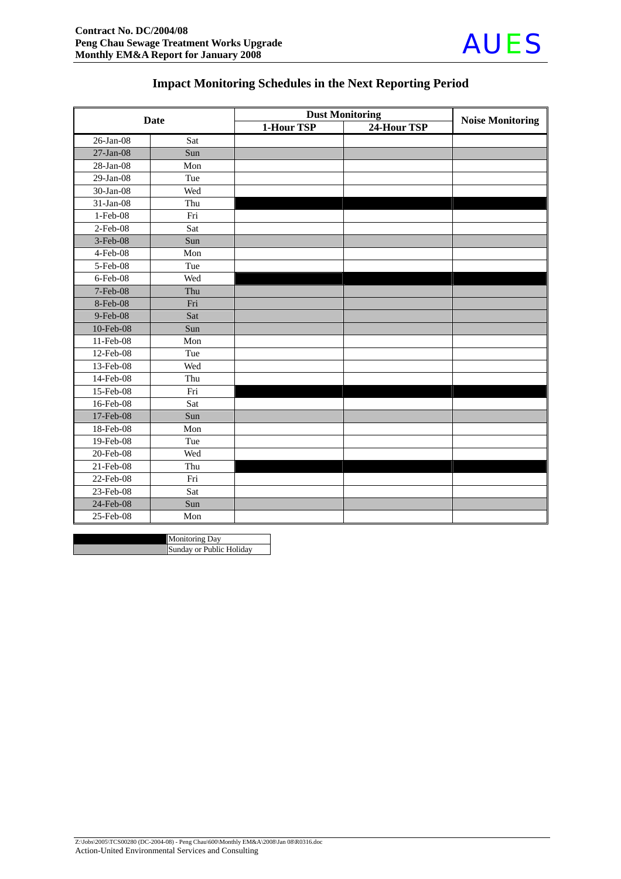

## **Impact Monitoring Schedules in the Next Reporting Period**

| <b>Date</b>    |     | <b>Dust Monitoring</b> | <b>Noise Monitoring</b> |  |
|----------------|-----|------------------------|-------------------------|--|
|                |     | 1-Hour TSP             | 24-Hour TSP             |  |
| 26-Jan-08      | Sat |                        |                         |  |
| $27$ -Jan-08   | Sun |                        |                         |  |
| 28-Jan-08      | Mon |                        |                         |  |
| $29$ -Jan-08   | Tue |                        |                         |  |
| 30-Jan-08      | Wed |                        |                         |  |
| 31-Jan-08      | Thu |                        |                         |  |
| 1-Feb-08       | Fri |                        |                         |  |
| 2-Feb-08       | Sat |                        |                         |  |
| 3-Feb-08       | Sun |                        |                         |  |
| $4$ -Feb $-08$ | Mon |                        |                         |  |
| 5-Feb-08       | Tue |                        |                         |  |
| 6-Feb-08       | Wed |                        |                         |  |
| 7-Feb-08       | Thu |                        |                         |  |
| 8-Feb-08       | Fri |                        |                         |  |
| 9-Feb-08       | Sat |                        |                         |  |
| 10-Feb-08      | Sun |                        |                         |  |
| 11-Feb-08      | Mon |                        |                         |  |
| 12-Feb-08      | Tue |                        |                         |  |
| 13-Feb-08      | Wed |                        |                         |  |
| 14-Feb-08      | Thu |                        |                         |  |
| 15-Feb-08      | Fri |                        |                         |  |
| 16-Feb-08      | Sat |                        |                         |  |
| 17-Feb-08      | Sun |                        |                         |  |
| 18-Feb-08      | Mon |                        |                         |  |
| 19-Feb-08      | Tue |                        |                         |  |
| 20-Feb-08      | Wed |                        |                         |  |
| 21-Feb-08      | Thu |                        |                         |  |
| 22-Feb-08      | Fri |                        |                         |  |
| 23-Feb-08      | Sat |                        |                         |  |
| 24-Feb-08      | Sun |                        |                         |  |
| 25-Feb-08      | Mon |                        |                         |  |

| <b>Monitoring Day</b>    |
|--------------------------|
| Sunday or Public Holiday |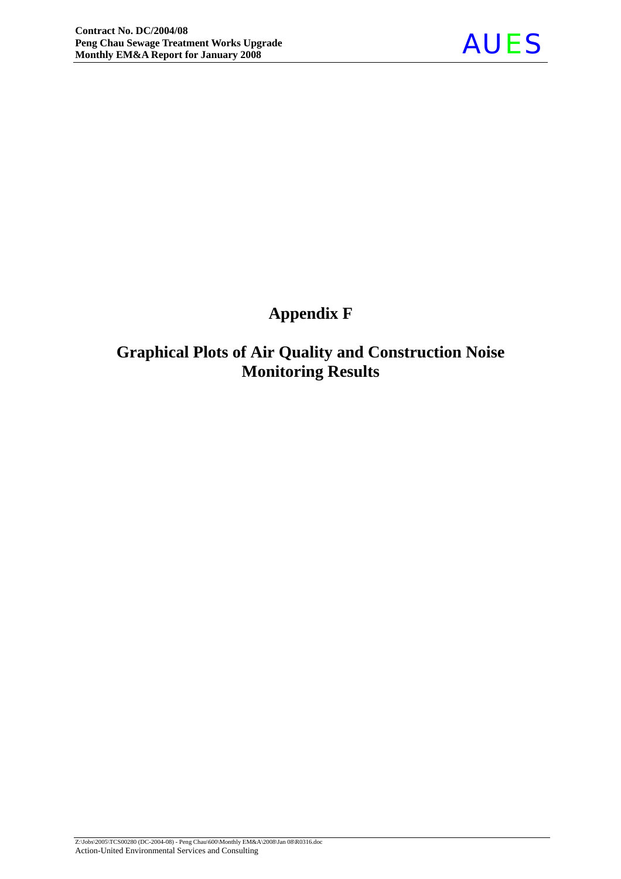

# **Appendix F**

# **Graphical Plots of Air Quality and Construction Noise Monitoring Results**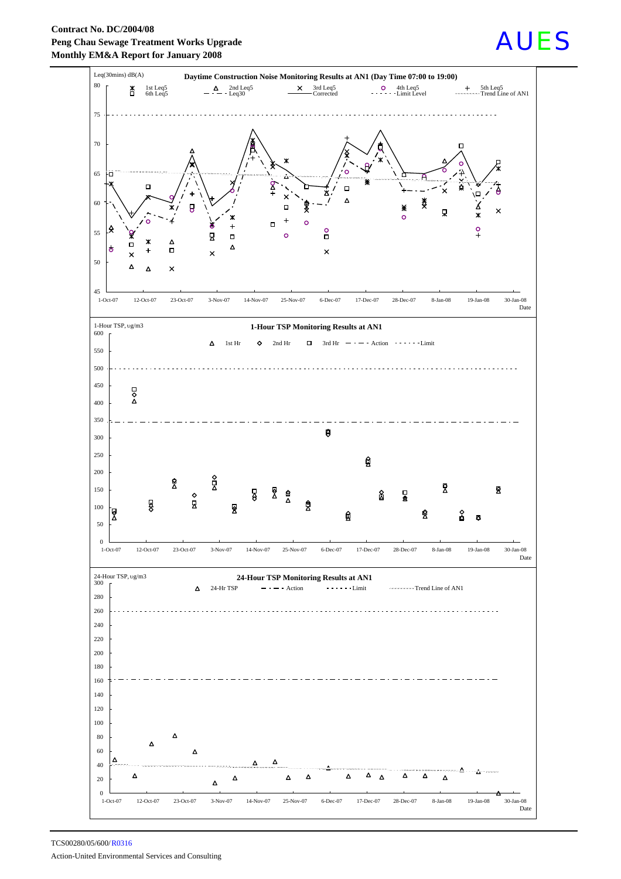**Contract No. DC/2004/08 Peng Chau Sewage Treatment Works Upgrade Monthly EM&A Report for January 2008**



# AUES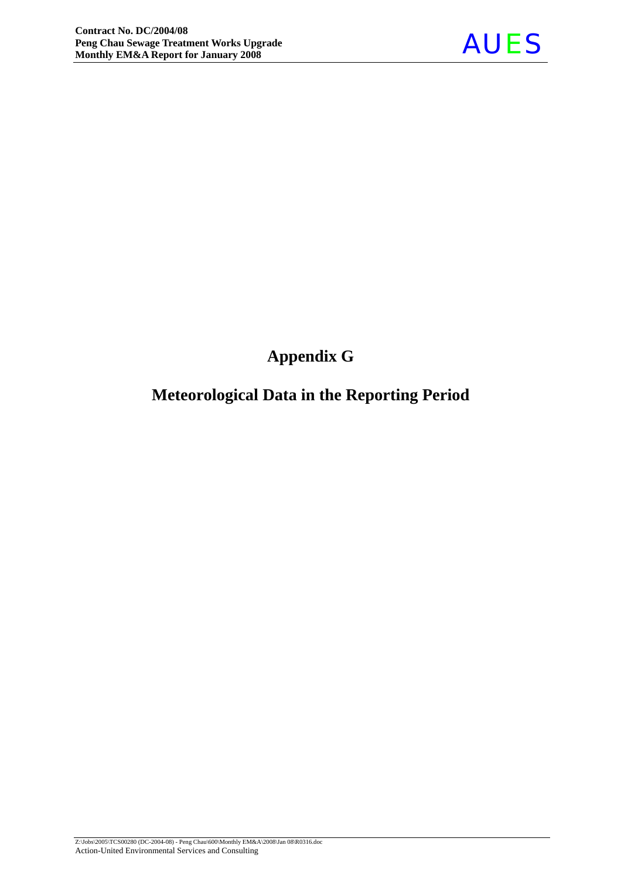

# **Appendix G**

# **Meteorological Data in the Reporting Period**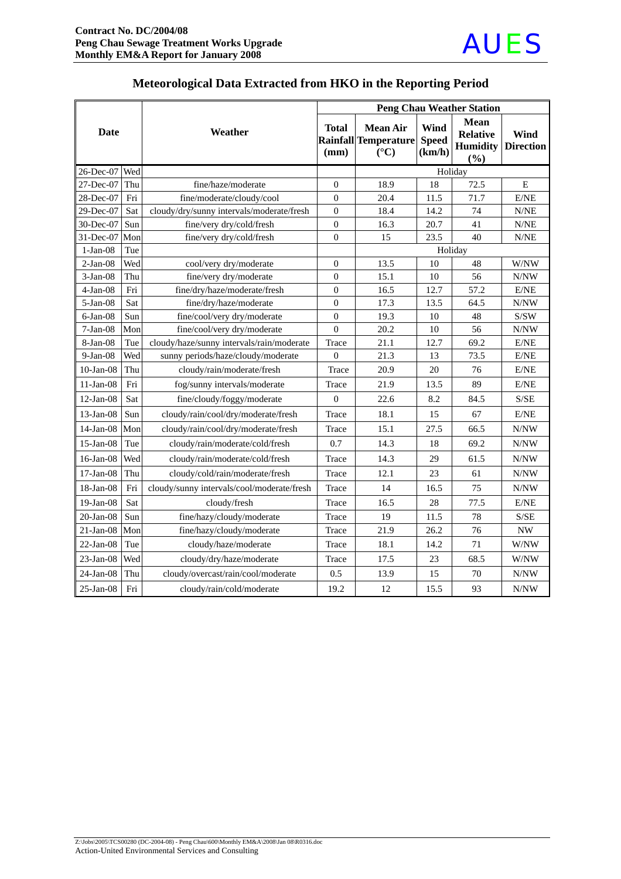

|                 |     |                                            | <b>Peng Chau Weather Station</b> |                                                            |                                |                                                          |                          |
|-----------------|-----|--------------------------------------------|----------------------------------|------------------------------------------------------------|--------------------------------|----------------------------------------------------------|--------------------------|
| <b>Date</b>     |     | Weather                                    | Total<br>(mm)                    | <b>Mean Air</b><br>Rainfall Temperature<br>$({}^{\circ}C)$ | Wind<br><b>Speed</b><br>(km/h) | <b>Mean</b><br><b>Relative</b><br><b>Humidity</b><br>(%) | Wind<br><b>Direction</b> |
| 26-Dec-07       | Wed |                                            |                                  | Holiday                                                    |                                |                                                          |                          |
| 27-Dec-07       | Thu | fine/haze/moderate                         | $\overline{0}$                   | 18.9                                                       | 18                             | 72.5                                                     | E                        |
| 28-Dec-07       | Fri | fine/moderate/cloudy/cool                  | $\overline{0}$                   | 20.4                                                       | 11.5                           | 71.7                                                     | $\rm E/NE$               |
| 29-Dec-07       | Sat | cloudy/dry/sunny intervals/moderate/fresh  | $\overline{0}$                   | 18.4                                                       | 14.2                           | 74                                                       | N/NE                     |
| 30-Dec-07       | Sun | fine/very dry/cold/fresh                   | $\overline{0}$                   | 16.3                                                       | 20.7                           | 41                                                       | N/NE                     |
| 31-Dec-07       | Mon | fine/very dry/cold/fresh                   | $\theta$                         | 15                                                         | 23.5                           | 40                                                       | N/NE                     |
| $1-Jan-08$      | Tue |                                            |                                  |                                                            |                                | Holiday                                                  |                          |
| $2-Jan-08$      | Wed | cool/very dry/moderate                     | $\overline{0}$                   | 13.5                                                       | 10                             | 48                                                       | W/NW                     |
| $3-Jan-08$      | Thu | fine/very dry/moderate                     | $\theta$                         | 15.1                                                       | 10                             | 56                                                       | N/NW                     |
| $4-Jan-08$      | Fri | fine/dry/haze/moderate/fresh               | $\theta$                         | 16.5                                                       | 12.7                           | 57.2                                                     | E/NE                     |
| $5-Ian-08$      | Sat | fine/dry/haze/moderate                     | $\overline{0}$                   | 17.3                                                       | 13.5                           | 64.5                                                     | N/NW                     |
| $6$ -Jan $-08$  | Sun | fine/cool/very dry/moderate                | $\boldsymbol{0}$                 | 19.3                                                       | 10                             | 48                                                       | S/SW                     |
| $7-Jan-08$      | Mon | fine/cool/very dry/moderate                | $\overline{0}$                   | 20.2                                                       | 10                             | 56                                                       | N/NW                     |
| 8-Jan-08        | Tue | cloudy/haze/sunny intervals/rain/moderate  | Trace                            | 21.1                                                       | 12.7                           | 69.2                                                     | E/NE                     |
| $9-Jan-08$      | Wed | sunny periods/haze/cloudy/moderate         | $\overline{0}$                   | 21.3                                                       | 13                             | 73.5                                                     | E/NE                     |
| $10$ -Jan-08    | Thu | cloudy/rain/moderate/fresh                 | Trace                            | 20.9                                                       | 20                             | 76                                                       | E/NE                     |
| $11-Jan-08$     | Fri | fog/sunny intervals/moderate               | Trace                            | 21.9                                                       | 13.5                           | 89                                                       | E/NE                     |
| $12-Jan-08$     | Sat | fine/cloudy/foggy/moderate                 | $\boldsymbol{0}$                 | 22.6                                                       | 8.2                            | 84.5                                                     | S/SE                     |
| $13$ -Jan-08    | Sun | cloudy/rain/cool/dry/moderate/fresh        | Trace                            | 18.1                                                       | 15                             | 67                                                       | E/NE                     |
| $14$ -Jan-08    | Mon | cloudy/rain/cool/dry/moderate/fresh        | Trace                            | 15.1                                                       | 27.5                           | 66.5                                                     | N/NW                     |
| $15$ -Jan-08    | Tue | cloudy/rain/moderate/cold/fresh            | 0.7                              | 14.3                                                       | 18                             | 69.2                                                     | $\text{N}/\text{NW}$     |
| $16$ -Jan-08    | Wed | cloudy/rain/moderate/cold/fresh            | Trace                            | 14.3                                                       | 29                             | 61.5                                                     | N/NW                     |
| $17-Jan-08$     | Thu | cloudy/cold/rain/moderate/fresh            | Trace                            | 12.1                                                       | 23                             | 61                                                       | N/NW                     |
| $18$ -Jan-08    | Fri | cloudy/sunny intervals/cool/moderate/fresh | Trace                            | 14                                                         | 16.5                           | 75                                                       | N/NW                     |
| $19-Jan-08$     | Sat | cloudy/fresh                               | Trace                            | 16.5                                                       | 28                             | 77.5                                                     | E/NE                     |
| $20$ -Jan- $08$ | Sun | fine/hazy/cloudy/moderate                  | Trace                            | 19                                                         | 11.5                           | 78                                                       | S/SE                     |
| $21$ -Jan-08    | Mon | fine/hazy/cloudy/moderate                  | Trace                            | 21.9                                                       | 26.2                           | 76                                                       | <b>NW</b>                |
| $22-Ian-08$     | Tue | cloudy/haze/moderate                       | Trace                            | 18.1                                                       | 14.2                           | 71                                                       | W/NW                     |
| $23$ -Jan-08    | Wed | cloudy/dry/haze/moderate                   | Trace                            | 17.5                                                       | 23                             | 68.5                                                     | W/NW                     |
| $24-Jan-08$     | Thu | cloudy/overcast/rain/cool/moderate         | 0.5                              | 13.9                                                       | 15                             | 70                                                       | N/NW                     |
| $25$ -Jan-08    | Fri | cloudy/rain/cold/moderate                  | 19.2                             | 12                                                         | 15.5                           | 93                                                       | N/NW                     |

## **Meteorological Data Extracted from HKO in the Reporting Period**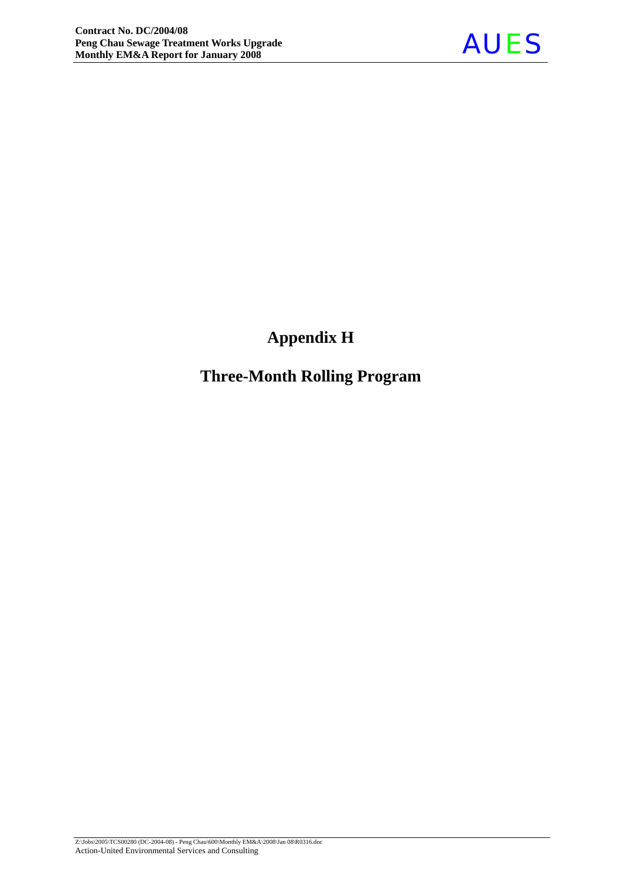

# **Appendix H**

# **Three-Month Rolling Program**